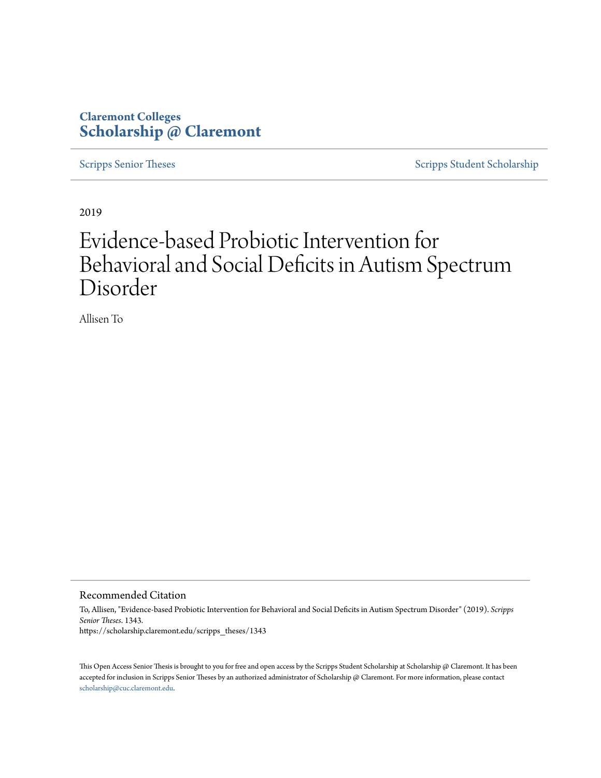# **Claremont Colleges [Scholarship @ Claremont](https://scholarship.claremont.edu)**

[Scripps Senior Theses](https://scholarship.claremont.edu/scripps_theses) [Scripps Student Scholarship](https://scholarship.claremont.edu/scripps_student)

2019

# Evidence-based Probiotic Intervention for Behavioral and Social Deficits in Autism Spectrum Disorder

Allisen To

#### Recommended Citation

To, Allisen, "Evidence-based Probiotic Intervention for Behavioral and Social Deficits in Autism Spectrum Disorder" (2019). *Scripps Senior Theses*. 1343. https://scholarship.claremont.edu/scripps\_theses/1343

This Open Access Senior Thesis is brought to you for free and open access by the Scripps Student Scholarship at Scholarship @ Claremont. It has been accepted for inclusion in Scripps Senior Theses by an authorized administrator of Scholarship @ Claremont. For more information, please contact [scholarship@cuc.claremont.edu.](mailto:scholarship@cuc.claremont.edu)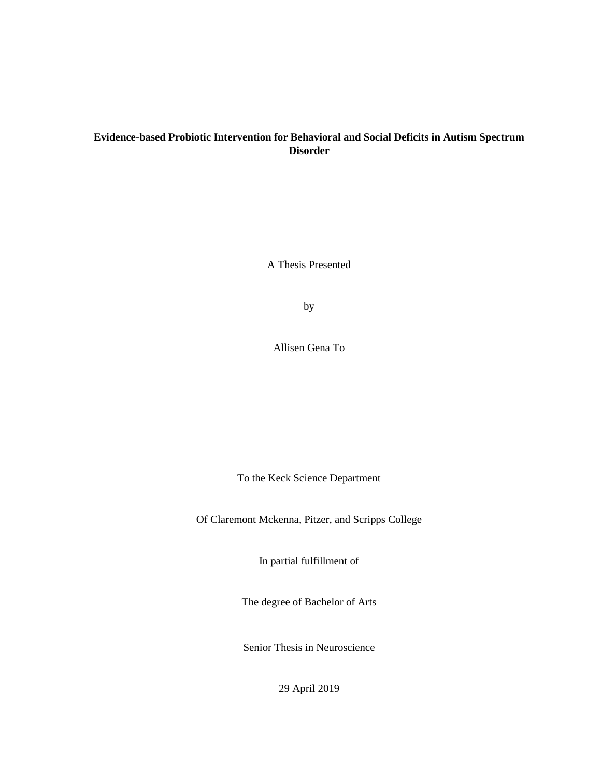# **Evidence-based Probiotic Intervention for Behavioral and Social Deficits in Autism Spectrum Disorder**

A Thesis Presented

by

Allisen Gena To

To the Keck Science Department

Of Claremont Mckenna, Pitzer, and Scripps College

In partial fulfillment of

The degree of Bachelor of Arts

Senior Thesis in Neuroscience

29 April 2019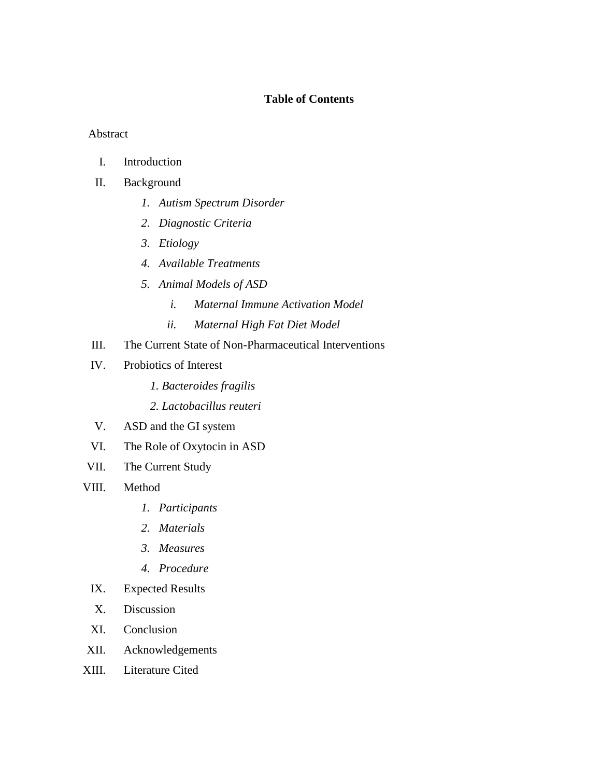# **Table of Contents**

#### Abstract

- I. Introduction
- II. Background
	- *1. Autism Spectrum Disorder*
	- *2. Diagnostic Criteria*
	- *3. Etiology*
	- *4. Available Treatments*
	- *5. Animal Models of ASD*
		- *i. Maternal Immune Activation Model*
		- *ii. Maternal High Fat Diet Model*
- III. The Current State of Non-Pharmaceutical Interventions
- IV. Probiotics of Interest
	- *1. Bacteroides fragilis*
	- *2. Lactobacillus reuteri*
- V. ASD and the GI system
- VI. The Role of Oxytocin in ASD
- VII. The Current Study
- VIII. Method
	- *1. Participants*
	- *2. Materials*
	- *3. Measures*
	- *4. Procedure*
	- IX. Expected Results
	- X. Discussion
	- XI. Conclusion
- XII. Acknowledgements
- XIII. Literature Cited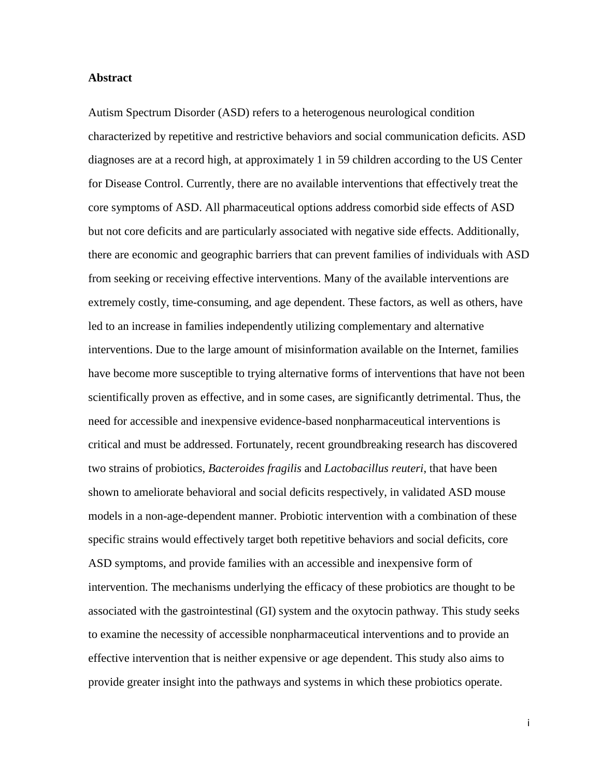#### **Abstract**

Autism Spectrum Disorder (ASD) refers to a heterogenous neurological condition characterized by repetitive and restrictive behaviors and social communication deficits. ASD diagnoses are at a record high, at approximately 1 in 59 children according to the US Center for Disease Control. Currently, there are no available interventions that effectively treat the core symptoms of ASD. All pharmaceutical options address comorbid side effects of ASD but not core deficits and are particularly associated with negative side effects. Additionally, there are economic and geographic barriers that can prevent families of individuals with ASD from seeking or receiving effective interventions. Many of the available interventions are extremely costly, time-consuming, and age dependent. These factors, as well as others, have led to an increase in families independently utilizing complementary and alternative interventions. Due to the large amount of misinformation available on the Internet, families have become more susceptible to trying alternative forms of interventions that have not been scientifically proven as effective, and in some cases, are significantly detrimental. Thus, the need for accessible and inexpensive evidence-based nonpharmaceutical interventions is critical and must be addressed. Fortunately, recent groundbreaking research has discovered two strains of probiotics, *Bacteroides fragilis* and *Lactobacillus reuteri*, that have been shown to ameliorate behavioral and social deficits respectively, in validated ASD mouse models in a non-age-dependent manner. Probiotic intervention with a combination of these specific strains would effectively target both repetitive behaviors and social deficits, core ASD symptoms, and provide families with an accessible and inexpensive form of intervention. The mechanisms underlying the efficacy of these probiotics are thought to be associated with the gastrointestinal (GI) system and the oxytocin pathway. This study seeks to examine the necessity of accessible nonpharmaceutical interventions and to provide an effective intervention that is neither expensive or age dependent. This study also aims to provide greater insight into the pathways and systems in which these probiotics operate.

i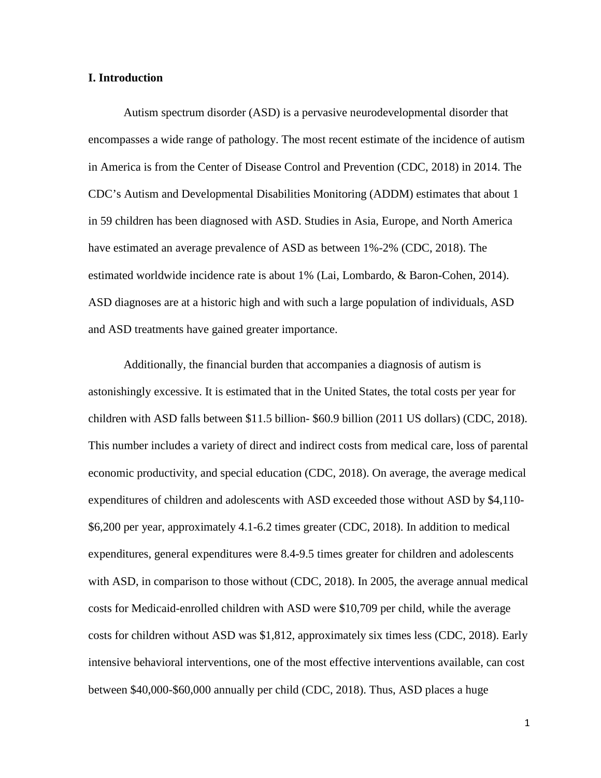#### **I. Introduction**

Autism spectrum disorder (ASD) is a pervasive neurodevelopmental disorder that encompasses a wide range of pathology. The most recent estimate of the incidence of autism in America is from the Center of Disease Control and Prevention (CDC, 2018) in 2014. The CDC's Autism and Developmental Disabilities Monitoring (ADDM) estimates that about 1 in 59 children has been diagnosed with ASD. Studies in Asia, Europe, and North America have estimated an average prevalence of ASD as between 1%-2% (CDC, 2018). The estimated worldwide incidence rate is about 1% (Lai, Lombardo, & Baron-Cohen, 2014). ASD diagnoses are at a historic high and with such a large population of individuals, ASD and ASD treatments have gained greater importance.

Additionally, the financial burden that accompanies a diagnosis of autism is astonishingly excessive. It is estimated that in the United States, the total costs per year for children with ASD falls between \$11.5 billion- \$60.9 billion (2011 US dollars) (CDC, 2018). This number includes a variety of direct and indirect costs from medical care, loss of parental economic productivity, and special education (CDC, 2018). On average, the average medical expenditures of children and adolescents with ASD exceeded those without ASD by \$4,110- \$6,200 per year, approximately 4.1-6.2 times greater (CDC, 2018). In addition to medical expenditures, general expenditures were 8.4-9.5 times greater for children and adolescents with ASD, in comparison to those without (CDC, 2018). In 2005, the average annual medical costs for Medicaid-enrolled children with ASD were \$10,709 per child, while the average costs for children without ASD was \$1,812, approximately six times less (CDC, 2018). Early intensive behavioral interventions, one of the most effective interventions available, can cost between \$40,000-\$60,000 annually per child (CDC, 2018). Thus, ASD places a huge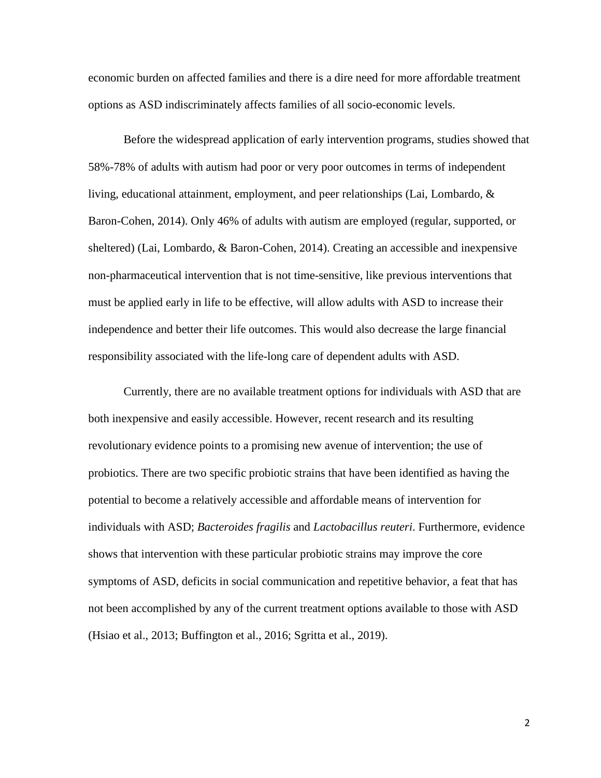economic burden on affected families and there is a dire need for more affordable treatment options as ASD indiscriminately affects families of all socio-economic levels.

Before the widespread application of early intervention programs, studies showed that 58%-78% of adults with autism had poor or very poor outcomes in terms of independent living, educational attainment, employment, and peer relationships (Lai, Lombardo, & Baron-Cohen, 2014). Only 46% of adults with autism are employed (regular, supported, or sheltered) (Lai, Lombardo, & Baron-Cohen, 2014). Creating an accessible and inexpensive non-pharmaceutical intervention that is not time-sensitive, like previous interventions that must be applied early in life to be effective, will allow adults with ASD to increase their independence and better their life outcomes. This would also decrease the large financial responsibility associated with the life-long care of dependent adults with ASD.

Currently, there are no available treatment options for individuals with ASD that are both inexpensive and easily accessible. However, recent research and its resulting revolutionary evidence points to a promising new avenue of intervention; the use of probiotics. There are two specific probiotic strains that have been identified as having the potential to become a relatively accessible and affordable means of intervention for individuals with ASD; *Bacteroides fragilis* and *Lactobacillus reuteri*. Furthermore, evidence shows that intervention with these particular probiotic strains may improve the core symptoms of ASD, deficits in social communication and repetitive behavior, a feat that has not been accomplished by any of the current treatment options available to those with ASD (Hsiao et al., 2013; Buffington et al., 2016; Sgritta et al., 2019).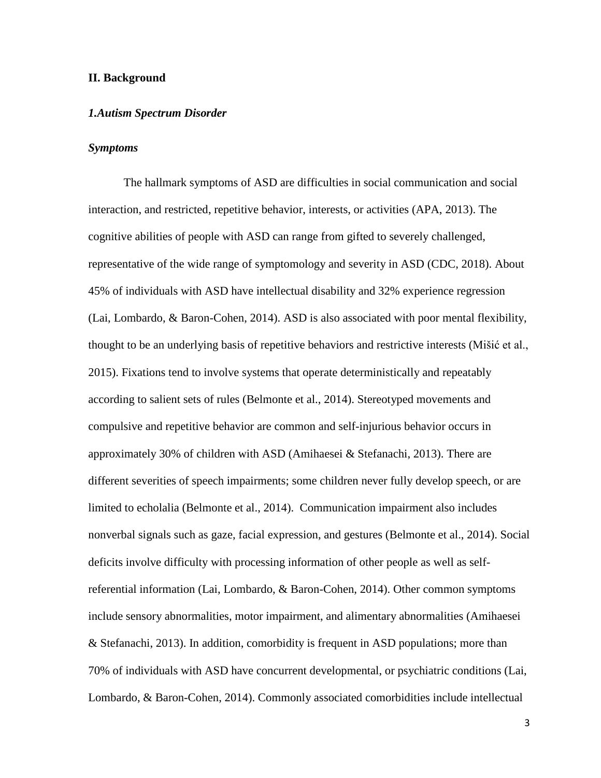# **II. Background**

#### *1.Autism Spectrum Disorder*

#### *Symptoms*

The hallmark symptoms of ASD are difficulties in social communication and social interaction, and restricted, repetitive behavior, interests, or activities (APA, 2013). The cognitive abilities of people with ASD can range from gifted to severely challenged, representative of the wide range of symptomology and severity in ASD (CDC, 2018). About 45% of individuals with ASD have intellectual disability and 32% experience regression (Lai, Lombardo, & Baron-Cohen, 2014). ASD is also associated with poor mental flexibility, thought to be an underlying basis of repetitive behaviors and restrictive interests (Mišić et al., 2015). Fixations tend to involve systems that operate deterministically and repeatably according to salient sets of rules (Belmonte et al., 2014). Stereotyped movements and compulsive and repetitive behavior are common and self-injurious behavior occurs in approximately 30% of children with ASD (Amihaesei & Stefanachi, 2013). There are different severities of speech impairments; some children never fully develop speech, or are limited to echolalia (Belmonte et al., 2014). Communication impairment also includes nonverbal signals such as gaze, facial expression, and gestures (Belmonte et al., 2014). Social deficits involve difficulty with processing information of other people as well as selfreferential information (Lai, Lombardo, & Baron-Cohen, 2014). Other common symptoms include sensory abnormalities, motor impairment, and alimentary abnormalities (Amihaesei & Stefanachi, 2013). In addition, comorbidity is frequent in ASD populations; more than 70% of individuals with ASD have concurrent developmental, or psychiatric conditions (Lai, Lombardo, & Baron-Cohen, 2014). Commonly associated comorbidities include intellectual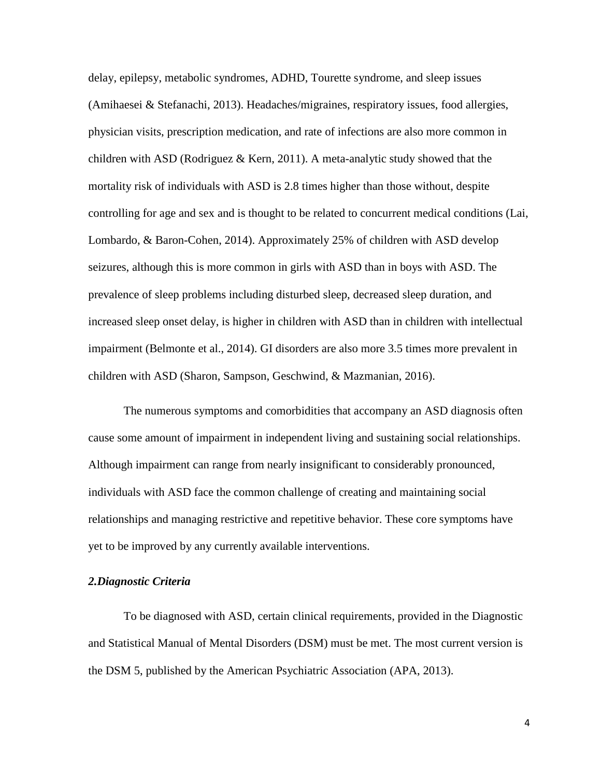delay, epilepsy, metabolic syndromes, ADHD, Tourette syndrome, and sleep issues (Amihaesei & Stefanachi, 2013). Headaches/migraines, respiratory issues, food allergies, physician visits, prescription medication, and rate of infections are also more common in children with ASD (Rodriguez  $&$  Kern, 2011). A meta-analytic study showed that the mortality risk of individuals with ASD is 2.8 times higher than those without, despite controlling for age and sex and is thought to be related to concurrent medical conditions (Lai, Lombardo, & Baron-Cohen, 2014). Approximately 25% of children with ASD develop seizures, although this is more common in girls with ASD than in boys with ASD. The prevalence of sleep problems including disturbed sleep, decreased sleep duration, and increased sleep onset delay, is higher in children with ASD than in children with intellectual impairment (Belmonte et al., 2014). GI disorders are also more 3.5 times more prevalent in children with ASD (Sharon, Sampson, Geschwind, & Mazmanian, 2016).

The numerous symptoms and comorbidities that accompany an ASD diagnosis often cause some amount of impairment in independent living and sustaining social relationships. Although impairment can range from nearly insignificant to considerably pronounced, individuals with ASD face the common challenge of creating and maintaining social relationships and managing restrictive and repetitive behavior. These core symptoms have yet to be improved by any currently available interventions.

# *2.Diagnostic Criteria*

To be diagnosed with ASD, certain clinical requirements, provided in the Diagnostic and Statistical Manual of Mental Disorders (DSM) must be met. The most current version is the DSM 5, published by the American Psychiatric Association (APA, 2013).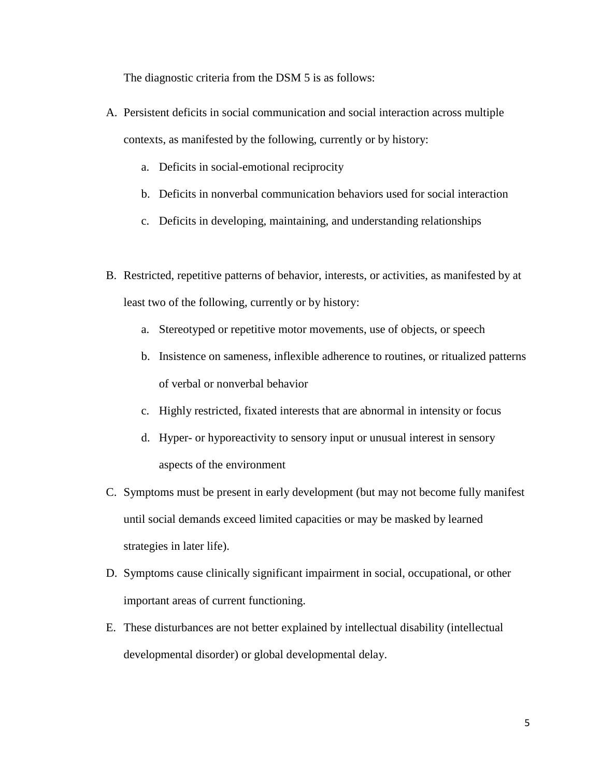The diagnostic criteria from the DSM 5 is as follows:

- A. Persistent deficits in social communication and social interaction across multiple contexts, as manifested by the following, currently or by history:
	- a. Deficits in social-emotional reciprocity
	- b. Deficits in nonverbal communication behaviors used for social interaction
	- c. Deficits in developing, maintaining, and understanding relationships
- B. Restricted, repetitive patterns of behavior, interests, or activities, as manifested by at least two of the following, currently or by history:
	- a. Stereotyped or repetitive motor movements, use of objects, or speech
	- b. Insistence on sameness, inflexible adherence to routines, or ritualized patterns of verbal or nonverbal behavior
	- c. Highly restricted, fixated interests that are abnormal in intensity or focus
	- d. Hyper- or hyporeactivity to sensory input or unusual interest in sensory aspects of the environment
- C. Symptoms must be present in early development (but may not become fully manifest until social demands exceed limited capacities or may be masked by learned strategies in later life).
- D. Symptoms cause clinically significant impairment in social, occupational, or other important areas of current functioning.
- E. These disturbances are not better explained by intellectual disability (intellectual developmental disorder) or global developmental delay.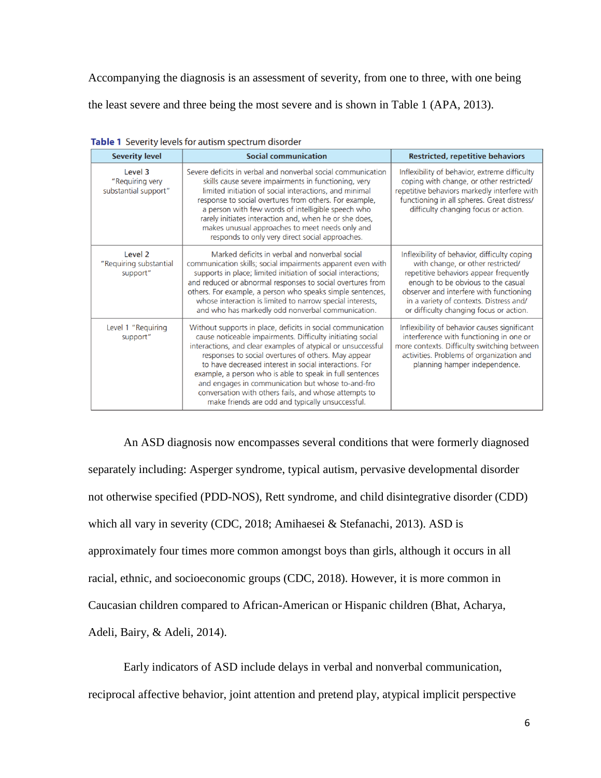Accompanying the diagnosis is an assessment of severity, from one to three, with one being the least severe and three being the most severe and is shown in Table 1 (APA, 2013).

| <b>Severity level</b>                                    | <b>Social communication</b>                                                                                                                                                                                                                                                                                                                                                                                                                                                                                                              | <b>Restricted, repetitive behaviors</b>                                                                                                                                                                                                                                                            |
|----------------------------------------------------------|------------------------------------------------------------------------------------------------------------------------------------------------------------------------------------------------------------------------------------------------------------------------------------------------------------------------------------------------------------------------------------------------------------------------------------------------------------------------------------------------------------------------------------------|----------------------------------------------------------------------------------------------------------------------------------------------------------------------------------------------------------------------------------------------------------------------------------------------------|
| Level 3<br>"Requiring very<br>substantial support"       | Severe deficits in verbal and nonverbal social communication<br>skills cause severe impairments in functioning, very<br>limited initiation of social interactions, and minimal<br>response to social overtures from others. For example,<br>a person with few words of intelligible speech who<br>rarely initiates interaction and, when he or she does,<br>makes unusual approaches to meet needs only and<br>responds to only very direct social approaches.                                                                           | Inflexibility of behavior, extreme difficulty<br>coping with change, or other restricted/<br>repetitive behaviors markedly interfere with<br>functioning in all spheres. Great distress/<br>difficulty changing focus or action.                                                                   |
| Level <sub>2</sub><br>"Requiring substantial<br>support" | Marked deficits in verbal and nonverbal social<br>communication skills; social impairments apparent even with<br>supports in place; limited initiation of social interactions;<br>and reduced or abnormal responses to social overtures from<br>others. For example, a person who speaks simple sentences,<br>whose interaction is limited to narrow special interests,<br>and who has markedly odd nonverbal communication.                                                                                                             | Inflexibility of behavior, difficulty coping<br>with change, or other restricted/<br>repetitive behaviors appear frequently<br>enough to be obvious to the casual<br>observer and interfere with functioning<br>in a variety of contexts. Distress and/<br>or difficulty changing focus or action. |
| Level 1 "Requiring<br>support"                           | Without supports in place, deficits in social communication<br>cause noticeable impairments. Difficulty initiating social<br>interactions, and clear examples of atypical or unsuccessful<br>responses to social overtures of others. May appear<br>to have decreased interest in social interactions. For<br>example, a person who is able to speak in full sentences<br>and engages in communication but whose to-and-fro<br>conversation with others fails, and whose attempts to<br>make friends are odd and typically unsuccessful. | Inflexibility of behavior causes significant<br>interference with functioning in one or<br>more contexts. Difficulty switching between<br>activities. Problems of organization and<br>planning hamper independence.                                                                                |

Table 1 Severity levels for autism spectrum disorder

An ASD diagnosis now encompasses several conditions that were formerly diagnosed separately including: Asperger syndrome, typical autism, pervasive developmental disorder not otherwise specified (PDD-NOS), Rett syndrome, and child disintegrative disorder (CDD) which all vary in severity (CDC, 2018; Amihaesei & Stefanachi, 2013). ASD is approximately four times more common amongst boys than girls, although it occurs in all racial, ethnic, and socioeconomic groups (CDC, 2018). However, it is more common in Caucasian children compared to African-American or Hispanic children (Bhat, Acharya, Adeli, Bairy, & Adeli, 2014).

Early indicators of ASD include delays in verbal and nonverbal communication, reciprocal affective behavior, joint attention and pretend play, atypical implicit perspective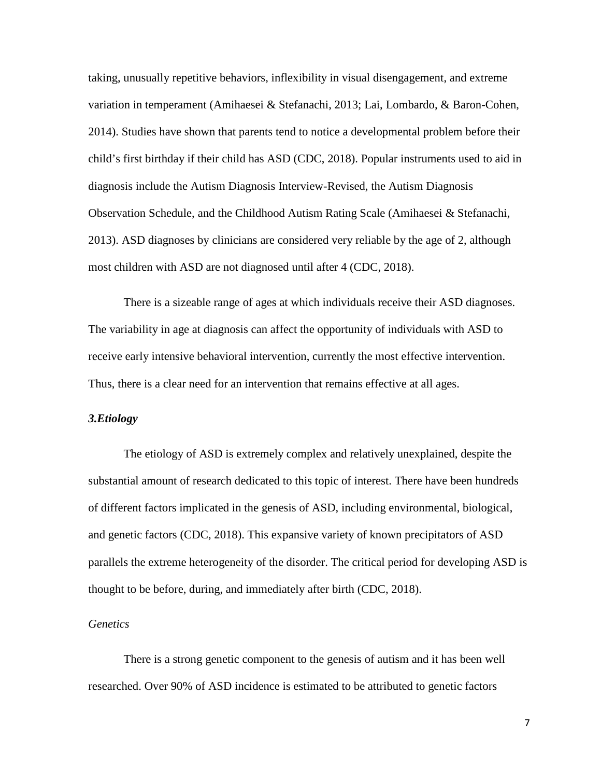taking, unusually repetitive behaviors, inflexibility in visual disengagement, and extreme variation in temperament (Amihaesei & Stefanachi, 2013; Lai, Lombardo, & Baron-Cohen, 2014). Studies have shown that parents tend to notice a developmental problem before their child's first birthday if their child has ASD (CDC, 2018). Popular instruments used to aid in diagnosis include the Autism Diagnosis Interview-Revised, the Autism Diagnosis Observation Schedule, and the Childhood Autism Rating Scale (Amihaesei & Stefanachi, 2013). ASD diagnoses by clinicians are considered very reliable by the age of 2, although most children with ASD are not diagnosed until after 4 (CDC, 2018).

There is a sizeable range of ages at which individuals receive their ASD diagnoses. The variability in age at diagnosis can affect the opportunity of individuals with ASD to receive early intensive behavioral intervention, currently the most effective intervention. Thus, there is a clear need for an intervention that remains effective at all ages.

# *3.Etiology*

The etiology of ASD is extremely complex and relatively unexplained, despite the substantial amount of research dedicated to this topic of interest. There have been hundreds of different factors implicated in the genesis of ASD, including environmental, biological, and genetic factors (CDC, 2018). This expansive variety of known precipitators of ASD parallels the extreme heterogeneity of the disorder. The critical period for developing ASD is thought to be before, during, and immediately after birth (CDC, 2018).

#### *Genetics*

There is a strong genetic component to the genesis of autism and it has been well researched. Over 90% of ASD incidence is estimated to be attributed to genetic factors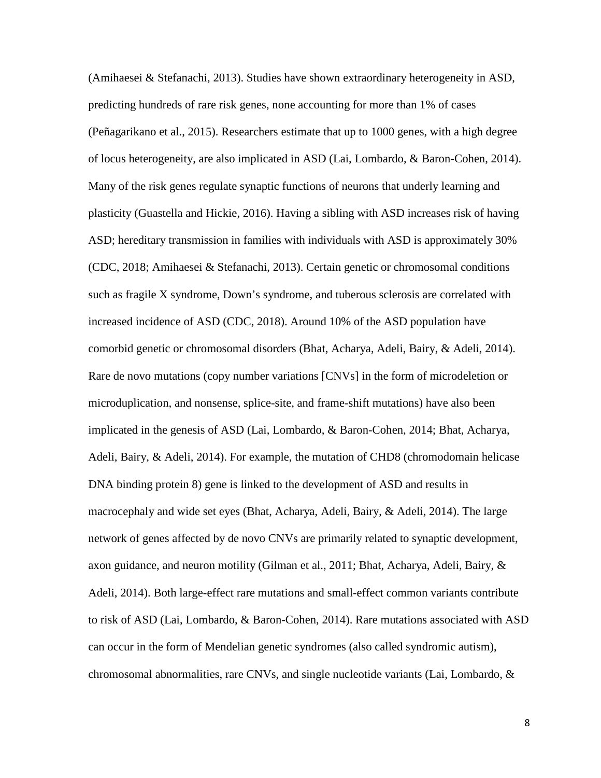(Amihaesei & Stefanachi, 2013). Studies have shown extraordinary heterogeneity in ASD, predicting hundreds of rare risk genes, none accounting for more than 1% of cases (Peñagarikano et al., 2015). Researchers estimate that up to 1000 genes, with a high degree of locus heterogeneity, are also implicated in ASD (Lai, Lombardo, & Baron-Cohen, 2014). Many of the risk genes regulate synaptic functions of neurons that underly learning and plasticity (Guastella and Hickie, 2016). Having a sibling with ASD increases risk of having ASD; hereditary transmission in families with individuals with ASD is approximately 30% (CDC, 2018; Amihaesei & Stefanachi, 2013). Certain genetic or chromosomal conditions such as fragile X syndrome, Down's syndrome, and tuberous sclerosis are correlated with increased incidence of ASD (CDC, 2018). Around 10% of the ASD population have comorbid genetic or chromosomal disorders (Bhat, Acharya, Adeli, Bairy, & Adeli, 2014). Rare de novo mutations (copy number variations [CNVs] in the form of microdeletion or microduplication, and nonsense, splice-site, and frame-shift mutations) have also been implicated in the genesis of ASD (Lai, Lombardo, & Baron-Cohen, 2014; Bhat, Acharya, Adeli, Bairy, & Adeli, 2014). For example, the mutation of CHD8 (chromodomain helicase DNA binding protein 8) gene is linked to the development of ASD and results in macrocephaly and wide set eyes (Bhat, Acharya, Adeli, Bairy, & Adeli, 2014). The large network of genes affected by de novo CNVs are primarily related to synaptic development, axon guidance, and neuron motility (Gilman et al., 2011; Bhat, Acharya, Adeli, Bairy, & Adeli, 2014). Both large-effect rare mutations and small-effect common variants contribute to risk of ASD (Lai, Lombardo, & Baron-Cohen, 2014). Rare mutations associated with ASD can occur in the form of Mendelian genetic syndromes (also called syndromic autism), chromosomal abnormalities, rare CNVs, and single nucleotide variants (Lai, Lombardo, &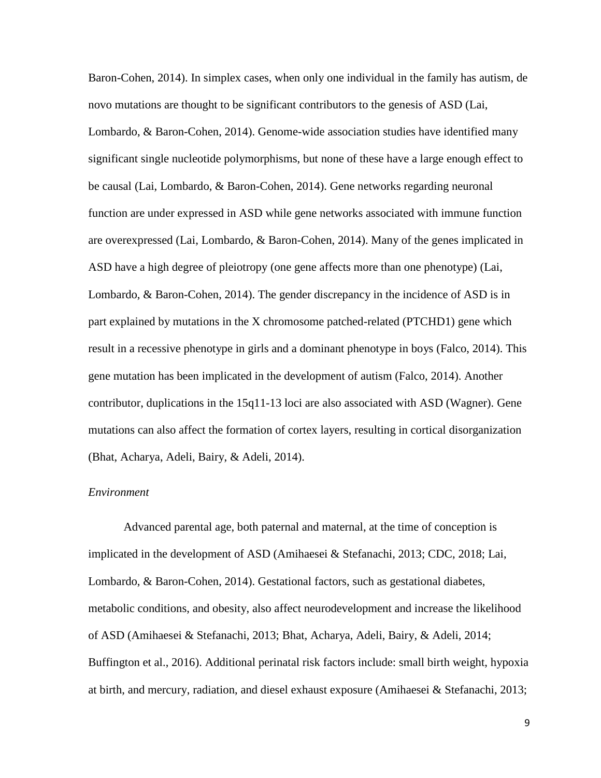Baron-Cohen, 2014). In simplex cases, when only one individual in the family has autism, de novo mutations are thought to be significant contributors to the genesis of ASD (Lai, Lombardo, & Baron-Cohen, 2014). Genome-wide association studies have identified many significant single nucleotide polymorphisms, but none of these have a large enough effect to be causal (Lai, Lombardo, & Baron-Cohen, 2014). Gene networks regarding neuronal function are under expressed in ASD while gene networks associated with immune function are overexpressed (Lai, Lombardo, & Baron-Cohen, 2014). Many of the genes implicated in ASD have a high degree of pleiotropy (one gene affects more than one phenotype) (Lai, Lombardo, & Baron-Cohen, 2014). The gender discrepancy in the incidence of ASD is in part explained by mutations in the X chromosome patched-related (PTCHD1) gene which result in a recessive phenotype in girls and a dominant phenotype in boys (Falco, 2014). This gene mutation has been implicated in the development of autism (Falco, 2014). Another contributor, duplications in the 15q11-13 loci are also associated with ASD (Wagner). Gene mutations can also affect the formation of cortex layers, resulting in cortical disorganization (Bhat, Acharya, Adeli, Bairy, & Adeli, 2014).

#### *Environment*

Advanced parental age, both paternal and maternal, at the time of conception is implicated in the development of ASD (Amihaesei & Stefanachi, 2013; CDC, 2018; Lai, Lombardo, & Baron-Cohen, 2014). Gestational factors, such as gestational diabetes, metabolic conditions, and obesity, also affect neurodevelopment and increase the likelihood of ASD (Amihaesei & Stefanachi, 2013; Bhat, Acharya, Adeli, Bairy, & Adeli, 2014; Buffington et al., 2016). Additional perinatal risk factors include: small birth weight, hypoxia at birth, and mercury, radiation, and diesel exhaust exposure (Amihaesei & Stefanachi, 2013;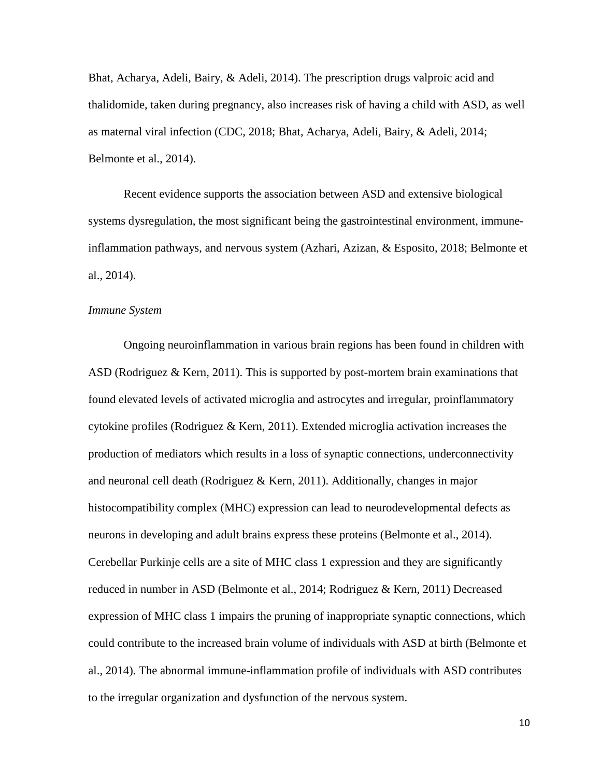Bhat, Acharya, Adeli, Bairy, & Adeli, 2014). The prescription drugs valproic acid and thalidomide, taken during pregnancy, also increases risk of having a child with ASD, as well as maternal viral infection (CDC, 2018; Bhat, Acharya, Adeli, Bairy, & Adeli, 2014; Belmonte et al., 2014).

Recent evidence supports the association between ASD and extensive biological systems dysregulation, the most significant being the gastrointestinal environment, immuneinflammation pathways, and nervous system (Azhari, Azizan, & Esposito, 2018; Belmonte et al., 2014).

#### *Immune System*

Ongoing neuroinflammation in various brain regions has been found in children with ASD (Rodriguez & Kern, 2011). This is supported by post-mortem brain examinations that found elevated levels of activated microglia and astrocytes and irregular, proinflammatory cytokine profiles (Rodriguez & Kern, 2011). Extended microglia activation increases the production of mediators which results in a loss of synaptic connections, underconnectivity and neuronal cell death (Rodriguez & Kern, 2011). Additionally, changes in major histocompatibility complex (MHC) expression can lead to neurodevelopmental defects as neurons in developing and adult brains express these proteins (Belmonte et al., 2014). Cerebellar Purkinje cells are a site of MHC class 1 expression and they are significantly reduced in number in ASD (Belmonte et al., 2014; Rodriguez & Kern, 2011) Decreased expression of MHC class 1 impairs the pruning of inappropriate synaptic connections, which could contribute to the increased brain volume of individuals with ASD at birth (Belmonte et al., 2014). The abnormal immune-inflammation profile of individuals with ASD contributes to the irregular organization and dysfunction of the nervous system.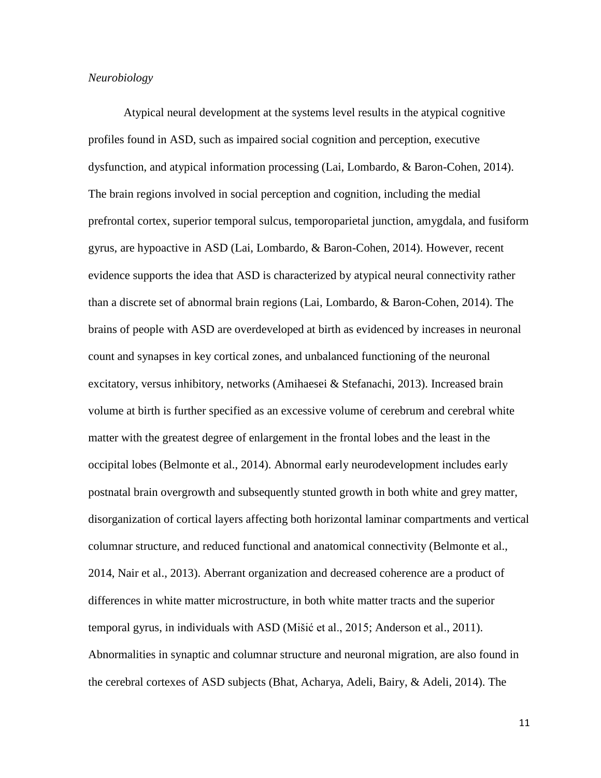# *Neurobiology*

Atypical neural development at the systems level results in the atypical cognitive profiles found in ASD, such as impaired social cognition and perception, executive dysfunction, and atypical information processing (Lai, Lombardo, & Baron-Cohen, 2014). The brain regions involved in social perception and cognition, including the medial prefrontal cortex, superior temporal sulcus, temporoparietal junction, amygdala, and fusiform gyrus, are hypoactive in ASD (Lai, Lombardo, & Baron-Cohen, 2014). However, recent evidence supports the idea that ASD is characterized by atypical neural connectivity rather than a discrete set of abnormal brain regions (Lai, Lombardo, & Baron-Cohen, 2014). The brains of people with ASD are overdeveloped at birth as evidenced by increases in neuronal count and synapses in key cortical zones, and unbalanced functioning of the neuronal excitatory, versus inhibitory, networks (Amihaesei & Stefanachi, 2013). Increased brain volume at birth is further specified as an excessive volume of cerebrum and cerebral white matter with the greatest degree of enlargement in the frontal lobes and the least in the occipital lobes (Belmonte et al., 2014). Abnormal early neurodevelopment includes early postnatal brain overgrowth and subsequently stunted growth in both white and grey matter, disorganization of cortical layers affecting both horizontal laminar compartments and vertical columnar structure, and reduced functional and anatomical connectivity (Belmonte et al., 2014, Nair et al., 2013). Aberrant organization and decreased coherence are a product of differences in white matter microstructure, in both white matter tracts and the superior temporal gyrus, in individuals with ASD (Mišić et al., 2015; Anderson et al., 2011). Abnormalities in synaptic and columnar structure and neuronal migration, are also found in the cerebral cortexes of ASD subjects (Bhat, Acharya, Adeli, Bairy, & Adeli, 2014). The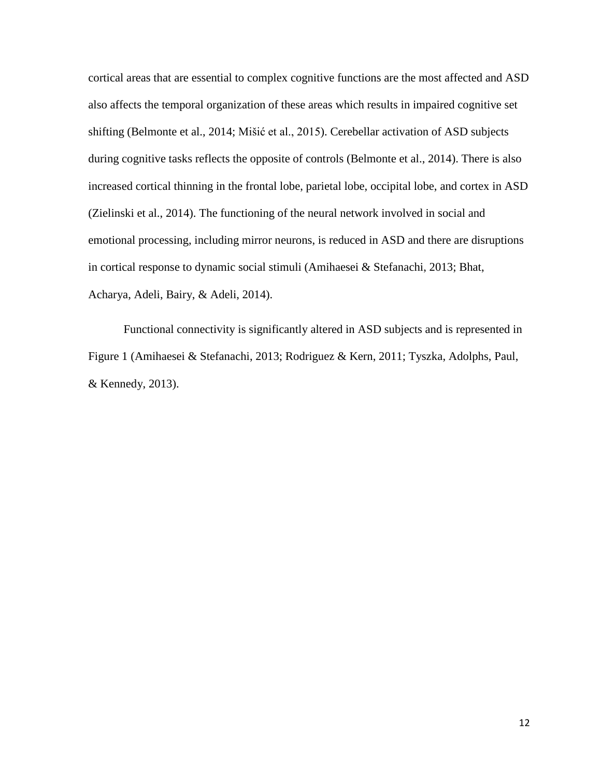cortical areas that are essential to complex cognitive functions are the most affected and ASD also affects the temporal organization of these areas which results in impaired cognitive set shifting (Belmonte et al., 2014; Mišić et al., 2015). Cerebellar activation of ASD subjects during cognitive tasks reflects the opposite of controls (Belmonte et al., 2014). There is also increased cortical thinning in the frontal lobe, parietal lobe, occipital lobe, and cortex in ASD (Zielinski et al., 2014). The functioning of the neural network involved in social and emotional processing, including mirror neurons, is reduced in ASD and there are disruptions in cortical response to dynamic social stimuli (Amihaesei & Stefanachi, 2013; Bhat, Acharya, Adeli, Bairy, & Adeli, 2014).

Functional connectivity is significantly altered in ASD subjects and is represented in Figure 1 (Amihaesei & Stefanachi, 2013; Rodriguez & Kern, 2011; Tyszka, Adolphs, Paul, & Kennedy, 2013).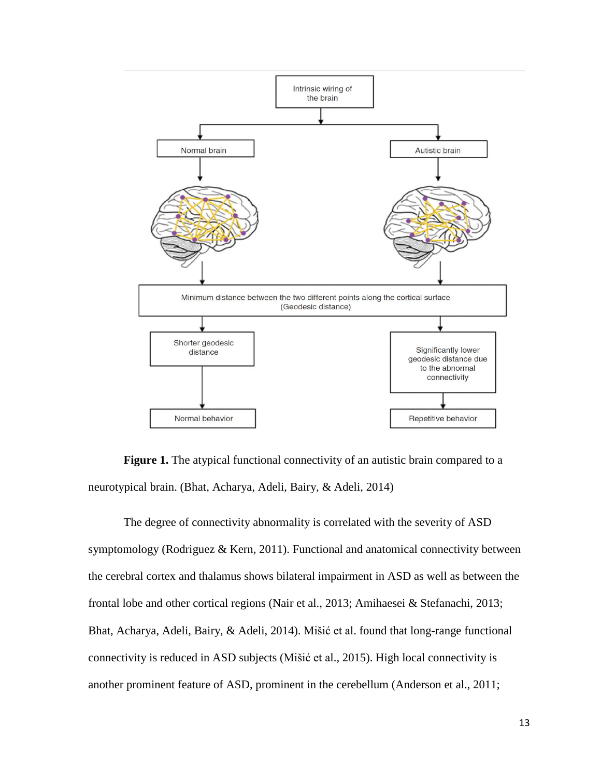

**Figure 1.** The atypical functional connectivity of an autistic brain compared to a neurotypical brain. (Bhat, Acharya, Adeli, Bairy, & Adeli, 2014)

The degree of connectivity abnormality is correlated with the severity of ASD symptomology (Rodriguez & Kern, 2011). Functional and anatomical connectivity between the cerebral cortex and thalamus shows bilateral impairment in ASD as well as between the frontal lobe and other cortical regions (Nair et al., 2013; Amihaesei & Stefanachi, 2013; Bhat, Acharya, Adeli, Bairy, & Adeli, 2014). Mišić et al. found that long-range functional connectivity is reduced in ASD subjects (Mišić et al., 2015). High local connectivity is another prominent feature of ASD, prominent in the cerebellum (Anderson et al., 2011;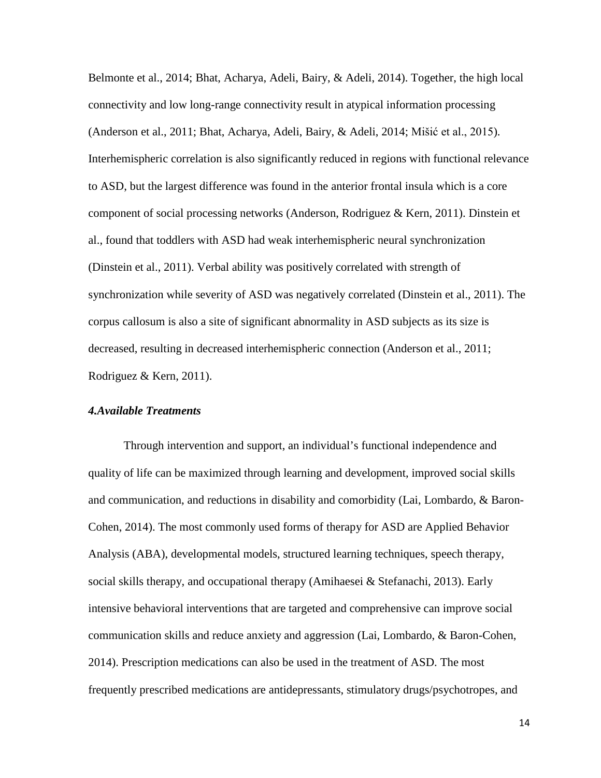Belmonte et al., 2014; Bhat, Acharya, Adeli, Bairy, & Adeli, 2014). Together, the high local connectivity and low long-range connectivity result in atypical information processing (Anderson et al., 2011; Bhat, Acharya, Adeli, Bairy, & Adeli, 2014; Mišić et al., 2015). Interhemispheric correlation is also significantly reduced in regions with functional relevance to ASD, but the largest difference was found in the anterior frontal insula which is a core component of social processing networks (Anderson, Rodriguez & Kern, 2011). Dinstein et al., found that toddlers with ASD had weak interhemispheric neural synchronization (Dinstein et al., 2011). Verbal ability was positively correlated with strength of synchronization while severity of ASD was negatively correlated (Dinstein et al., 2011). The corpus callosum is also a site of significant abnormality in ASD subjects as its size is decreased, resulting in decreased interhemispheric connection (Anderson et al., 2011; Rodriguez & Kern, 2011).

# *4.Available Treatments*

Through intervention and support, an individual's functional independence and quality of life can be maximized through learning and development, improved social skills and communication, and reductions in disability and comorbidity (Lai, Lombardo, & Baron-Cohen, 2014). The most commonly used forms of therapy for ASD are Applied Behavior Analysis (ABA), developmental models, structured learning techniques, speech therapy, social skills therapy, and occupational therapy (Amihaesei  $\&$  Stefanachi, 2013). Early intensive behavioral interventions that are targeted and comprehensive can improve social communication skills and reduce anxiety and aggression (Lai, Lombardo, & Baron-Cohen, 2014). Prescription medications can also be used in the treatment of ASD. The most frequently prescribed medications are antidepressants, stimulatory drugs/psychotropes, and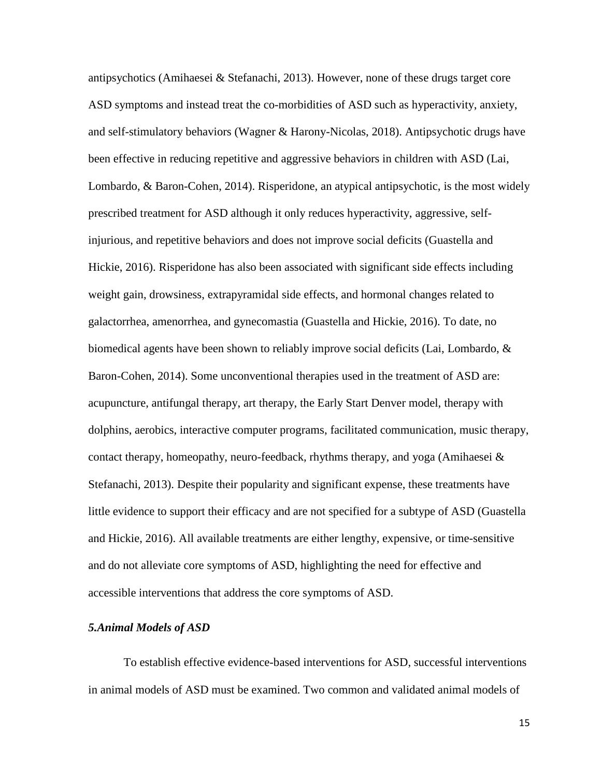antipsychotics (Amihaesei & Stefanachi, 2013). However, none of these drugs target core ASD symptoms and instead treat the co-morbidities of ASD such as hyperactivity, anxiety, and self-stimulatory behaviors (Wagner & Harony-Nicolas, 2018). Antipsychotic drugs have been effective in reducing repetitive and aggressive behaviors in children with ASD (Lai, Lombardo, & Baron-Cohen, 2014). Risperidone, an atypical antipsychotic, is the most widely prescribed treatment for ASD although it only reduces hyperactivity, aggressive, selfinjurious, and repetitive behaviors and does not improve social deficits (Guastella and Hickie, 2016). Risperidone has also been associated with significant side effects including weight gain, drowsiness, extrapyramidal side effects, and hormonal changes related to galactorrhea, amenorrhea, and gynecomastia (Guastella and Hickie, 2016). To date, no biomedical agents have been shown to reliably improve social deficits (Lai, Lombardo,  $\&$ Baron-Cohen, 2014). Some unconventional therapies used in the treatment of ASD are: acupuncture, antifungal therapy, art therapy, the Early Start Denver model, therapy with dolphins, aerobics, interactive computer programs, facilitated communication, music therapy, contact therapy, homeopathy, neuro-feedback, rhythms therapy, and yoga (Amihaesei & Stefanachi, 2013). Despite their popularity and significant expense, these treatments have little evidence to support their efficacy and are not specified for a subtype of ASD (Guastella and Hickie, 2016). All available treatments are either lengthy, expensive, or time-sensitive and do not alleviate core symptoms of ASD, highlighting the need for effective and accessible interventions that address the core symptoms of ASD.

# *5.Animal Models of ASD*

To establish effective evidence-based interventions for ASD, successful interventions in animal models of ASD must be examined. Two common and validated animal models of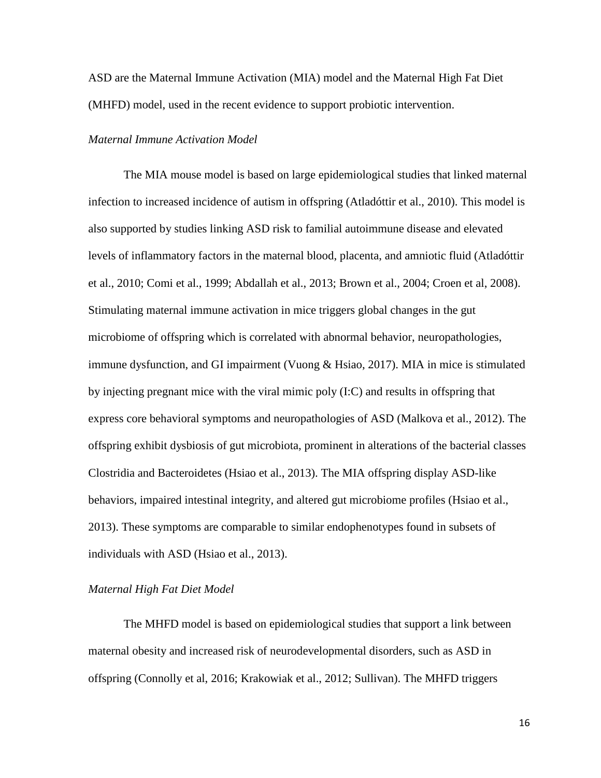ASD are the Maternal Immune Activation (MIA) model and the Maternal High Fat Diet (MHFD) model, used in the recent evidence to support probiotic intervention.

#### *Maternal Immune Activation Model*

The MIA mouse model is based on large epidemiological studies that linked maternal infection to increased incidence of autism in offspring (Atladóttir et al., 2010). This model is also supported by studies linking ASD risk to familial autoimmune disease and elevated levels of inflammatory factors in the maternal blood, placenta, and amniotic fluid (Atladóttir et al., 2010; Comi et al., 1999; Abdallah et al., 2013; Brown et al., 2004; Croen et al, 2008). Stimulating maternal immune activation in mice triggers global changes in the gut microbiome of offspring which is correlated with abnormal behavior, neuropathologies, immune dysfunction, and GI impairment (Vuong & Hsiao, 2017). MIA in mice is stimulated by injecting pregnant mice with the viral mimic poly (I:C) and results in offspring that express core behavioral symptoms and neuropathologies of ASD (Malkova et al., 2012). The offspring exhibit dysbiosis of gut microbiota, prominent in alterations of the bacterial classes Clostridia and Bacteroidetes (Hsiao et al., 2013). The MIA offspring display ASD-like behaviors, impaired intestinal integrity, and altered gut microbiome profiles (Hsiao et al., 2013). These symptoms are comparable to similar endophenotypes found in subsets of individuals with ASD (Hsiao et al., 2013).

### *Maternal High Fat Diet Model*

The MHFD model is based on epidemiological studies that support a link between maternal obesity and increased risk of neurodevelopmental disorders, such as ASD in offspring (Connolly et al, 2016; Krakowiak et al., 2012; Sullivan). The MHFD triggers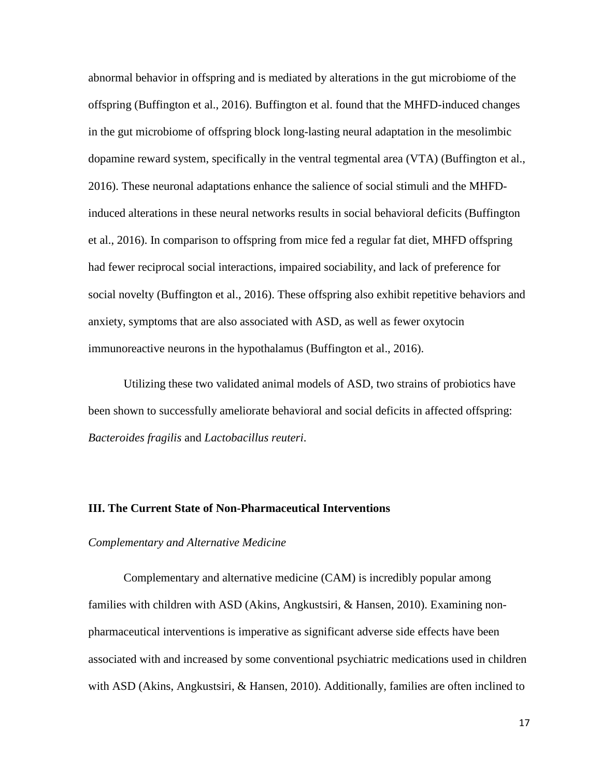abnormal behavior in offspring and is mediated by alterations in the gut microbiome of the offspring (Buffington et al., 2016). Buffington et al. found that the MHFD-induced changes in the gut microbiome of offspring block long-lasting neural adaptation in the mesolimbic dopamine reward system, specifically in the ventral tegmental area (VTA) (Buffington et al., 2016). These neuronal adaptations enhance the salience of social stimuli and the MHFDinduced alterations in these neural networks results in social behavioral deficits (Buffington et al., 2016). In comparison to offspring from mice fed a regular fat diet, MHFD offspring had fewer reciprocal social interactions, impaired sociability, and lack of preference for social novelty (Buffington et al., 2016). These offspring also exhibit repetitive behaviors and anxiety, symptoms that are also associated with ASD, as well as fewer oxytocin immunoreactive neurons in the hypothalamus (Buffington et al., 2016).

Utilizing these two validated animal models of ASD, two strains of probiotics have been shown to successfully ameliorate behavioral and social deficits in affected offspring: *Bacteroides fragilis* and *Lactobacillus reuteri*.

#### **III. The Current State of Non-Pharmaceutical Interventions**

#### *Complementary and Alternative Medicine*

Complementary and alternative medicine (CAM) is incredibly popular among families with children with ASD (Akins, Angkustsiri, & Hansen, 2010). Examining nonpharmaceutical interventions is imperative as significant adverse side effects have been associated with and increased by some conventional psychiatric medications used in children with ASD (Akins, Angkustsiri, & Hansen, 2010). Additionally, families are often inclined to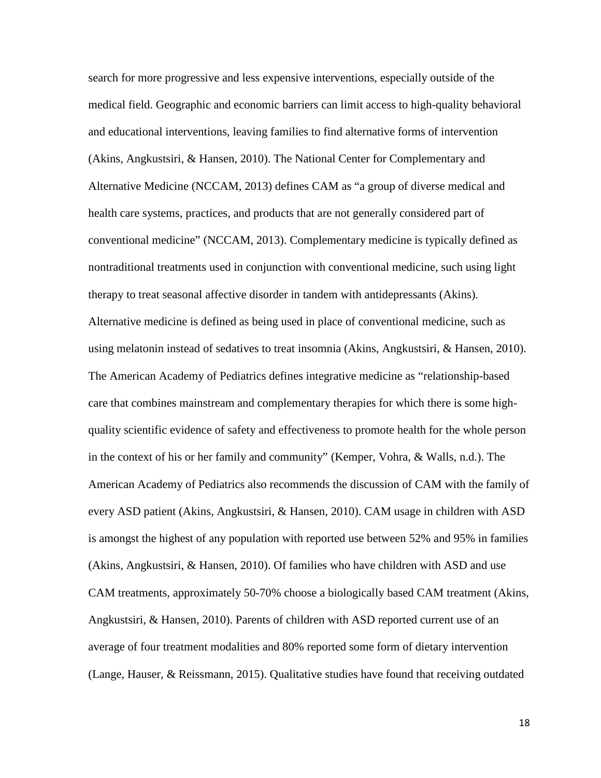search for more progressive and less expensive interventions, especially outside of the medical field. Geographic and economic barriers can limit access to high-quality behavioral and educational interventions, leaving families to find alternative forms of intervention (Akins, Angkustsiri, & Hansen, 2010). The National Center for Complementary and Alternative Medicine (NCCAM, 2013) defines CAM as "a group of diverse medical and health care systems, practices, and products that are not generally considered part of conventional medicine" (NCCAM, 2013). Complementary medicine is typically defined as nontraditional treatments used in conjunction with conventional medicine, such using light therapy to treat seasonal affective disorder in tandem with antidepressants (Akins). Alternative medicine is defined as being used in place of conventional medicine, such as using melatonin instead of sedatives to treat insomnia (Akins, Angkustsiri, & Hansen, 2010). The American Academy of Pediatrics defines integrative medicine as "relationship-based care that combines mainstream and complementary therapies for which there is some highquality scientific evidence of safety and effectiveness to promote health for the whole person in the context of his or her family and community" (Kemper, Vohra, & Walls, n.d.). The American Academy of Pediatrics also recommends the discussion of CAM with the family of every ASD patient (Akins, Angkustsiri, & Hansen, 2010). CAM usage in children with ASD is amongst the highest of any population with reported use between 52% and 95% in families (Akins, Angkustsiri, & Hansen, 2010). Of families who have children with ASD and use CAM treatments, approximately 50-70% choose a biologically based CAM treatment (Akins, Angkustsiri, & Hansen, 2010). Parents of children with ASD reported current use of an average of four treatment modalities and 80% reported some form of dietary intervention (Lange, Hauser, & Reissmann, 2015). Qualitative studies have found that receiving outdated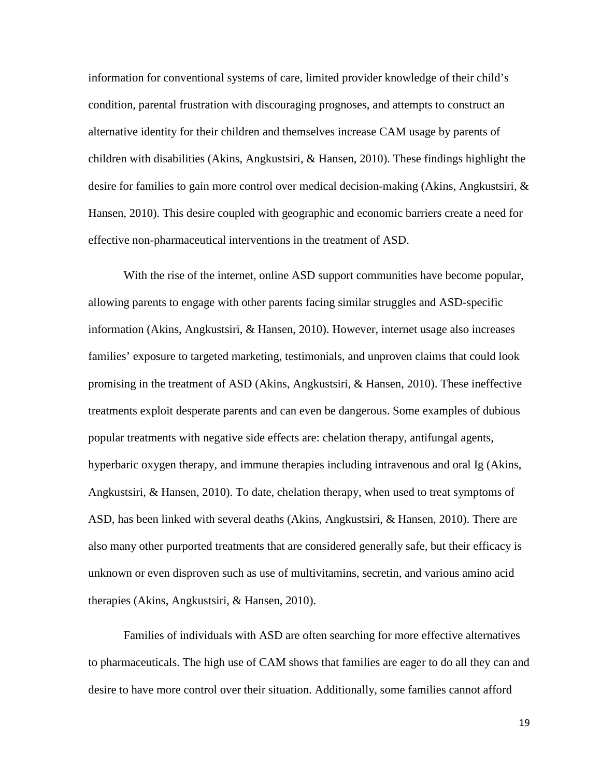information for conventional systems of care, limited provider knowledge of their child's condition, parental frustration with discouraging prognoses, and attempts to construct an alternative identity for their children and themselves increase CAM usage by parents of children with disabilities (Akins, Angkustsiri, & Hansen, 2010). These findings highlight the desire for families to gain more control over medical decision-making (Akins, Angkustsiri, & Hansen, 2010). This desire coupled with geographic and economic barriers create a need for effective non-pharmaceutical interventions in the treatment of ASD.

With the rise of the internet, online ASD support communities have become popular, allowing parents to engage with other parents facing similar struggles and ASD-specific information (Akins, Angkustsiri, & Hansen, 2010). However, internet usage also increases families' exposure to targeted marketing, testimonials, and unproven claims that could look promising in the treatment of ASD (Akins, Angkustsiri, & Hansen, 2010). These ineffective treatments exploit desperate parents and can even be dangerous. Some examples of dubious popular treatments with negative side effects are: chelation therapy, antifungal agents, hyperbaric oxygen therapy, and immune therapies including intravenous and oral Ig (Akins, Angkustsiri, & Hansen, 2010). To date, chelation therapy, when used to treat symptoms of ASD, has been linked with several deaths (Akins, Angkustsiri, & Hansen, 2010). There are also many other purported treatments that are considered generally safe, but their efficacy is unknown or even disproven such as use of multivitamins, secretin, and various amino acid therapies (Akins, Angkustsiri, & Hansen, 2010).

Families of individuals with ASD are often searching for more effective alternatives to pharmaceuticals. The high use of CAM shows that families are eager to do all they can and desire to have more control over their situation. Additionally, some families cannot afford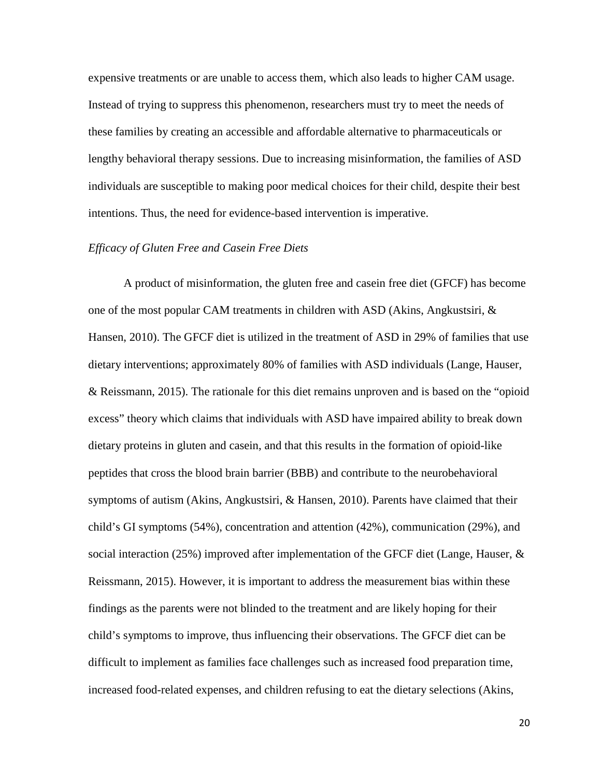expensive treatments or are unable to access them, which also leads to higher CAM usage. Instead of trying to suppress this phenomenon, researchers must try to meet the needs of these families by creating an accessible and affordable alternative to pharmaceuticals or lengthy behavioral therapy sessions. Due to increasing misinformation, the families of ASD individuals are susceptible to making poor medical choices for their child, despite their best intentions. Thus, the need for evidence-based intervention is imperative.

# *Efficacy of Gluten Free and Casein Free Diets*

A product of misinformation, the gluten free and casein free diet (GFCF) has become one of the most popular CAM treatments in children with ASD (Akins, Angkustsiri, & Hansen, 2010). The GFCF diet is utilized in the treatment of ASD in 29% of families that use dietary interventions; approximately 80% of families with ASD individuals (Lange, Hauser, & Reissmann, 2015). The rationale for this diet remains unproven and is based on the "opioid excess" theory which claims that individuals with ASD have impaired ability to break down dietary proteins in gluten and casein, and that this results in the formation of opioid-like peptides that cross the blood brain barrier (BBB) and contribute to the neurobehavioral symptoms of autism (Akins, Angkustsiri, & Hansen, 2010). Parents have claimed that their child's GI symptoms (54%), concentration and attention (42%), communication (29%), and social interaction (25%) improved after implementation of the GFCF diet (Lange, Hauser,  $\&$ Reissmann, 2015). However, it is important to address the measurement bias within these findings as the parents were not blinded to the treatment and are likely hoping for their child's symptoms to improve, thus influencing their observations. The GFCF diet can be difficult to implement as families face challenges such as increased food preparation time, increased food-related expenses, and children refusing to eat the dietary selections (Akins,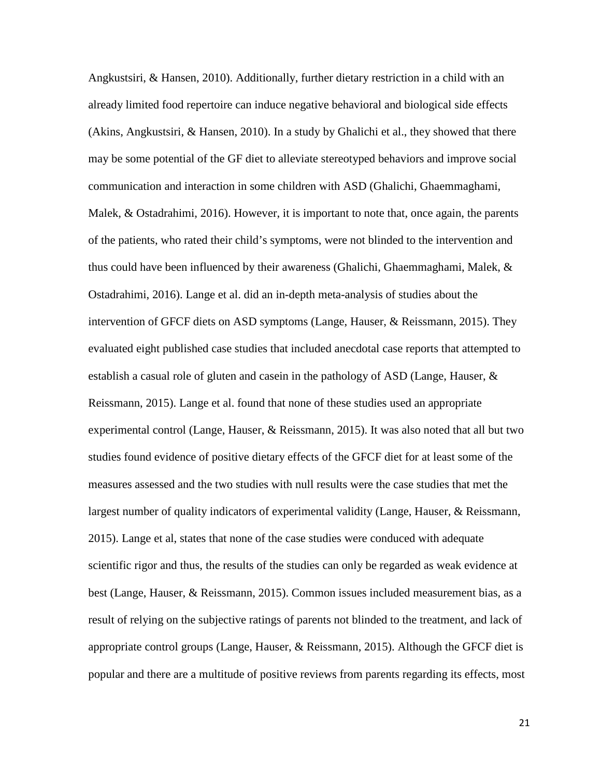Angkustsiri, & Hansen, 2010). Additionally, further dietary restriction in a child with an already limited food repertoire can induce negative behavioral and biological side effects (Akins, Angkustsiri, & Hansen, 2010). In a study by Ghalichi et al., they showed that there may be some potential of the GF diet to alleviate stereotyped behaviors and improve social communication and interaction in some children with ASD (Ghalichi, Ghaemmaghami, Malek, & Ostadrahimi, 2016). However, it is important to note that, once again, the parents of the patients, who rated their child's symptoms, were not blinded to the intervention and thus could have been influenced by their awareness (Ghalichi, Ghaemmaghami, Malek, & Ostadrahimi, 2016). Lange et al. did an in-depth meta-analysis of studies about the intervention of GFCF diets on ASD symptoms (Lange, Hauser, & Reissmann, 2015). They evaluated eight published case studies that included anecdotal case reports that attempted to establish a casual role of gluten and casein in the pathology of ASD (Lange, Hauser,  $\&$ Reissmann, 2015). Lange et al. found that none of these studies used an appropriate experimental control (Lange, Hauser, & Reissmann, 2015). It was also noted that all but two studies found evidence of positive dietary effects of the GFCF diet for at least some of the measures assessed and the two studies with null results were the case studies that met the largest number of quality indicators of experimental validity (Lange, Hauser, & Reissmann, 2015). Lange et al, states that none of the case studies were conduced with adequate scientific rigor and thus, the results of the studies can only be regarded as weak evidence at best (Lange, Hauser, & Reissmann, 2015). Common issues included measurement bias, as a result of relying on the subjective ratings of parents not blinded to the treatment, and lack of appropriate control groups (Lange, Hauser, & Reissmann, 2015). Although the GFCF diet is popular and there are a multitude of positive reviews from parents regarding its effects, most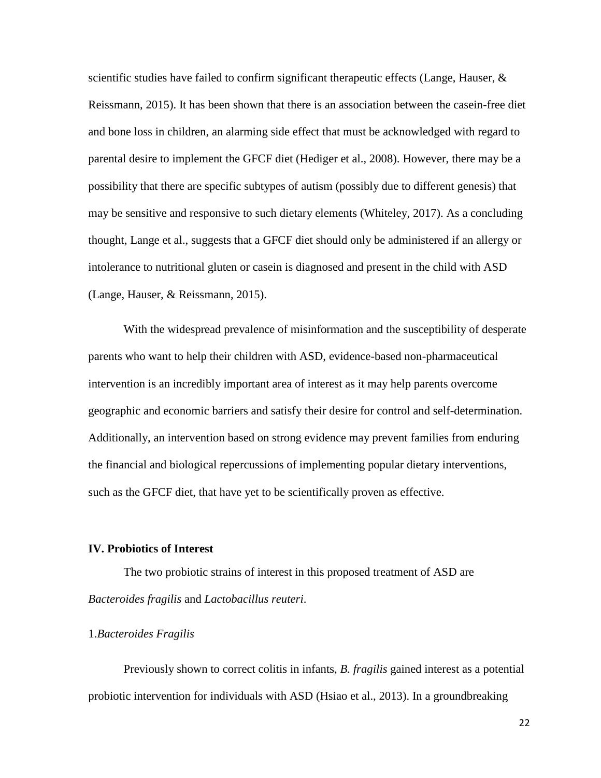scientific studies have failed to confirm significant therapeutic effects (Lange, Hauser,  $\&$ Reissmann, 2015). It has been shown that there is an association between the casein-free diet and bone loss in children, an alarming side effect that must be acknowledged with regard to parental desire to implement the GFCF diet (Hediger et al., 2008). However, there may be a possibility that there are specific subtypes of autism (possibly due to different genesis) that may be sensitive and responsive to such dietary elements (Whiteley, 2017). As a concluding thought, Lange et al., suggests that a GFCF diet should only be administered if an allergy or intolerance to nutritional gluten or casein is diagnosed and present in the child with ASD (Lange, Hauser, & Reissmann, 2015).

With the widespread prevalence of misinformation and the susceptibility of desperate parents who want to help their children with ASD, evidence-based non-pharmaceutical intervention is an incredibly important area of interest as it may help parents overcome geographic and economic barriers and satisfy their desire for control and self-determination. Additionally, an intervention based on strong evidence may prevent families from enduring the financial and biological repercussions of implementing popular dietary interventions, such as the GFCF diet, that have yet to be scientifically proven as effective.

#### **IV. Probiotics of Interest**

The two probiotic strains of interest in this proposed treatment of ASD are *Bacteroides fragilis* and *Lactobacillus reuteri*.

# 1.*Bacteroides Fragilis*

Previously shown to correct colitis in infants, *B. fragilis* gained interest as a potential probiotic intervention for individuals with ASD (Hsiao et al., 2013). In a groundbreaking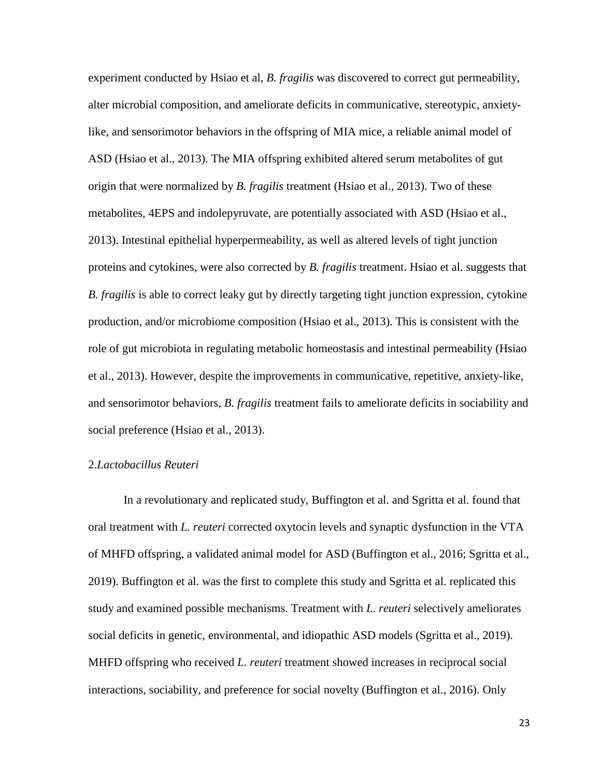experiment conducted by Hsiao et al, *B. fragilis* was discovered to correct gut permeability, alter microbial composition, and ameliorate deficits in communicative, stereotypic, anxietylike, and sensorimotor behaviors in the offspring of MIA mice, a reliable animal model of ASD (Hsiao et al., 2013). The MIA offspring exhibited altered serum metabolites of gut origin that were normalized by *B. fragilis* treatment (Hsiao et al., 2013). Two of these metabolites, 4EPS and indolepyruvate, are potentially associated with ASD (Hsiao et al., 2013). Intestinal epithelial hyperpermeability, as well as altered levels of tight junction proteins and cytokines, were also corrected by *B. fragilis* treatment. Hsiao et al. suggests that *B. fragilis* is able to correct leaky gut by directly targeting tight junction expression, cytokine production, and/or microbiome composition (Hsiao et al., 2013). This is consistent with the role of gut microbiota in regulating metabolic homeostasis and intestinal permeability (Hsiao et al., 2013). However, despite the improvements in communicative, repetitive, anxiety-like, and sensorimotor behaviors, *B. fragilis* treatment fails to ameliorate deficits in sociability and social preference (Hsiao et al., 2013).

# 2.*Lactobacillus Reuteri*

In a revolutionary and replicated study, Buffington et al. and Sgritta et al. found that oral treatment with *L. reuteri* corrected oxytocin levels and synaptic dysfunction in the VTA of MHFD offspring, a validated animal model for ASD (Buffington et al., 2016; Sgritta et al., 2019). Buffington et al. was the first to complete this study and Sgritta et al. replicated this study and examined possible mechanisms. Treatment with *L. reuteri* selectively ameliorates social deficits in genetic, environmental, and idiopathic ASD models (Sgritta et al., 2019). MHFD offspring who received *L. reuteri* treatment showed increases in reciprocal social interactions, sociability, and preference for social novelty (Buffington et al., 2016). Only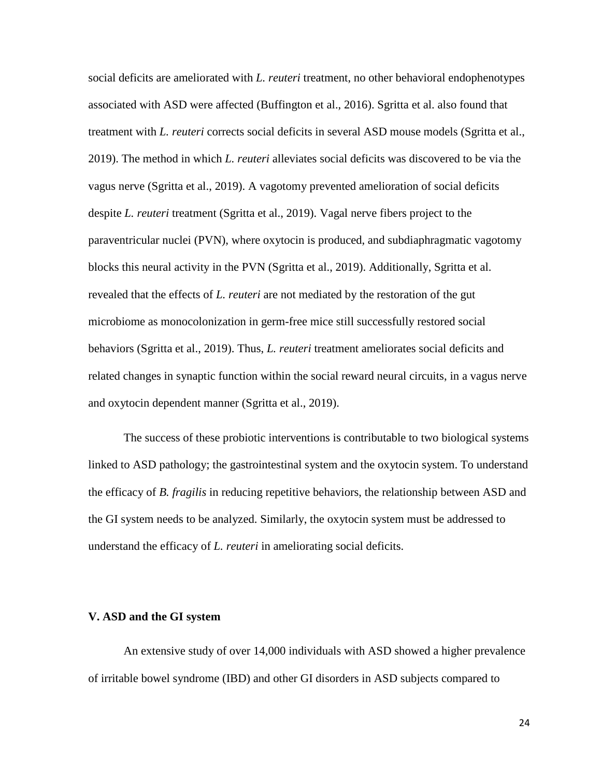social deficits are ameliorated with *L. reuteri* treatment, no other behavioral endophenotypes associated with ASD were affected (Buffington et al., 2016). Sgritta et al. also found that treatment with *L. reuteri* corrects social deficits in several ASD mouse models (Sgritta et al., 2019). The method in which *L. reuteri* alleviates social deficits was discovered to be via the vagus nerve (Sgritta et al., 2019). A vagotomy prevented amelioration of social deficits despite *L. reuteri* treatment (Sgritta et al., 2019). Vagal nerve fibers project to the paraventricular nuclei (PVN), where oxytocin is produced, and subdiaphragmatic vagotomy blocks this neural activity in the PVN (Sgritta et al., 2019). Additionally, Sgritta et al. revealed that the effects of *L. reuteri* are not mediated by the restoration of the gut microbiome as monocolonization in germ-free mice still successfully restored social behaviors (Sgritta et al., 2019). Thus, *L. reuteri* treatment ameliorates social deficits and related changes in synaptic function within the social reward neural circuits, in a vagus nerve and oxytocin dependent manner (Sgritta et al., 2019).

The success of these probiotic interventions is contributable to two biological systems linked to ASD pathology; the gastrointestinal system and the oxytocin system. To understand the efficacy of *B. fragilis* in reducing repetitive behaviors, the relationship between ASD and the GI system needs to be analyzed. Similarly, the oxytocin system must be addressed to understand the efficacy of *L. reuteri* in ameliorating social deficits.

# **V. ASD and the GI system**

An extensive study of over 14,000 individuals with ASD showed a higher prevalence of irritable bowel syndrome (IBD) and other GI disorders in ASD subjects compared to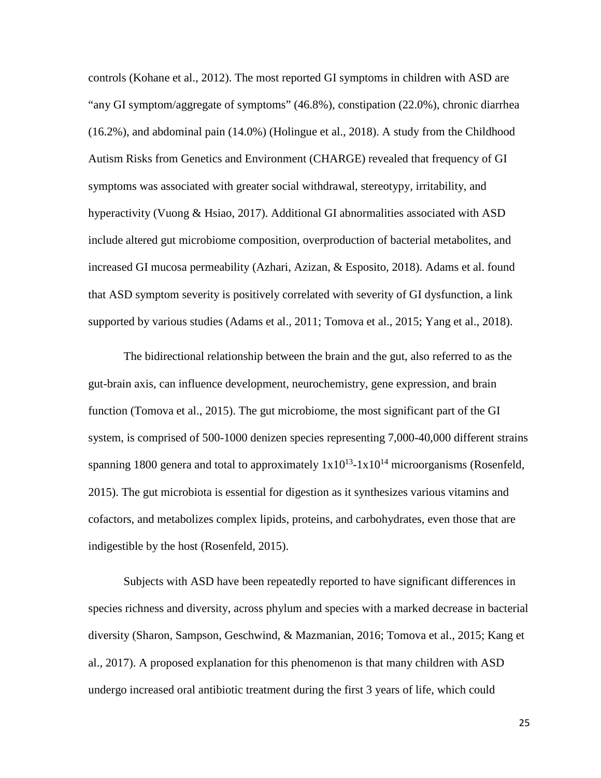controls (Kohane et al., 2012). The most reported GI symptoms in children with ASD are "any GI symptom/aggregate of symptoms" (46.8%), constipation (22.0%), chronic diarrhea (16.2%), and abdominal pain (14.0%) (Holingue et al., 2018). A study from the Childhood Autism Risks from Genetics and Environment (CHARGE) revealed that frequency of GI symptoms was associated with greater social withdrawal, stereotypy, irritability, and hyperactivity (Vuong & Hsiao, 2017). Additional GI abnormalities associated with ASD include altered gut microbiome composition, overproduction of bacterial metabolites, and increased GI mucosa permeability (Azhari, Azizan, & Esposito, 2018). Adams et al. found that ASD symptom severity is positively correlated with severity of GI dysfunction, a link supported by various studies (Adams et al., 2011; Tomova et al., 2015; Yang et al., 2018).

The bidirectional relationship between the brain and the gut, also referred to as the gut-brain axis, can influence development, neurochemistry, gene expression, and brain function (Tomova et al., 2015). The gut microbiome, the most significant part of the GI system, is comprised of 500-1000 denizen species representing 7,000-40,000 different strains spanning 1800 genera and total to approximately  $1x10^{13}$ -1x10<sup>14</sup> microorganisms (Rosenfeld, 2015). The gut microbiota is essential for digestion as it synthesizes various vitamins and cofactors, and metabolizes complex lipids, proteins, and carbohydrates, even those that are indigestible by the host (Rosenfeld, 2015).

Subjects with ASD have been repeatedly reported to have significant differences in species richness and diversity, across phylum and species with a marked decrease in bacterial diversity (Sharon, Sampson, Geschwind, & Mazmanian, 2016; Tomova et al., 2015; Kang et al., 2017). A proposed explanation for this phenomenon is that many children with ASD undergo increased oral antibiotic treatment during the first 3 years of life, which could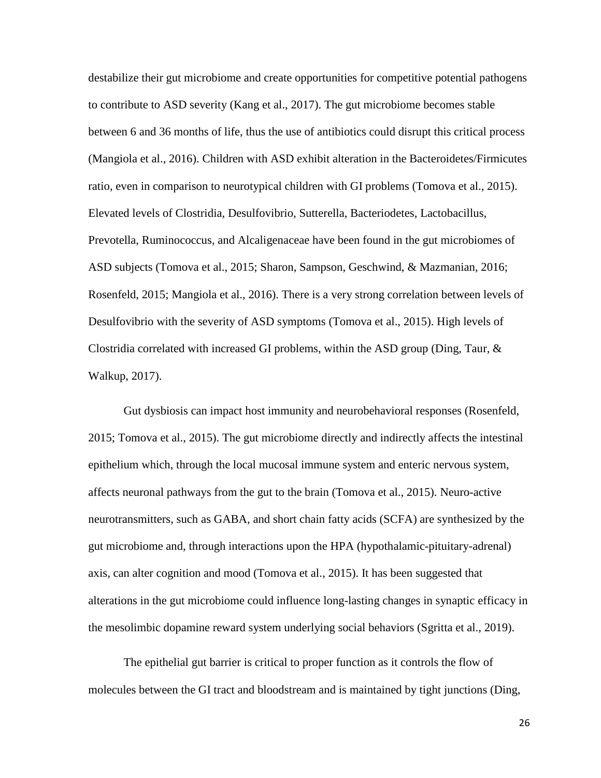destabilize their gut microbiome and create opportunities for competitive potential pathogens to contribute to ASD severity (Kang et al., 2017). The gut microbiome becomes stable between 6 and 36 months of life, thus the use of antibiotics could disrupt this critical process (Mangiola et al., 2016). Children with ASD exhibit alteration in the Bacteroidetes/Firmicutes ratio, even in comparison to neurotypical children with GI problems (Tomova et al., 2015). Elevated levels of Clostridia, Desulfovibrio, Sutterella, Bacteriodetes, Lactobacillus, Prevotella, Ruminococcus, and Alcaligenaceae have been found in the gut microbiomes of ASD subjects (Tomova et al., 2015; Sharon, Sampson, Geschwind, & Mazmanian, 2016; Rosenfeld, 2015; Mangiola et al., 2016). There is a very strong correlation between levels of Desulfovibrio with the severity of ASD symptoms (Tomova et al., 2015). High levels of Clostridia correlated with increased GI problems, within the ASD group (Ding, Taur, & Walkup, 2017).

Gut dysbiosis can impact host immunity and neurobehavioral responses (Rosenfeld, 2015; Tomova et al., 2015). The gut microbiome directly and indirectly affects the intestinal epithelium which, through the local mucosal immune system and enteric nervous system, affects neuronal pathways from the gut to the brain (Tomova et al., 2015). Neuro-active neurotransmitters, such as GABA, and short chain fatty acids (SCFA) are synthesized by the gut microbiome and, through interactions upon the HPA (hypothalamic-pituitary-adrenal) axis, can alter cognition and mood (Tomova et al., 2015). It has been suggested that alterations in the gut microbiome could influence long-lasting changes in synaptic efficacy in the mesolimbic dopamine reward system underlying social behaviors (Sgritta et al., 2019).

The epithelial gut barrier is critical to proper function as it controls the flow of molecules between the GI tract and bloodstream and is maintained by tight junctions (Ding,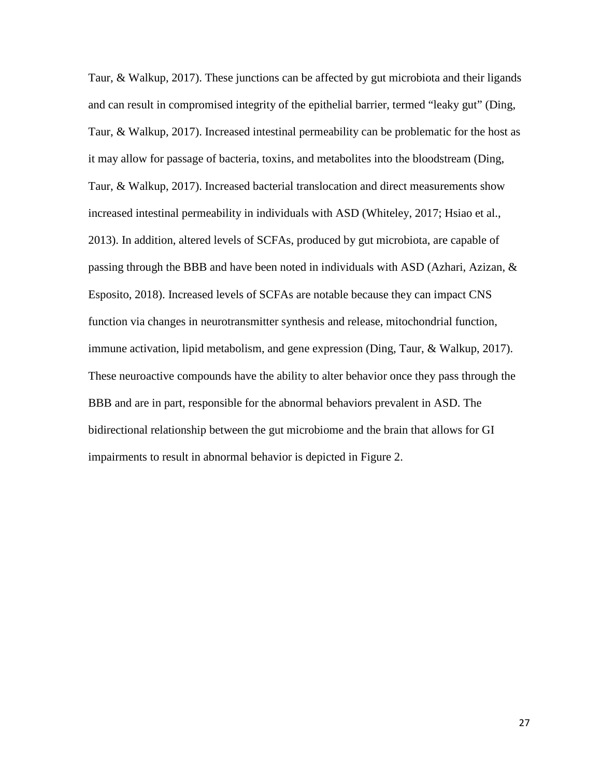Taur, & Walkup, 2017). These junctions can be affected by gut microbiota and their ligands and can result in compromised integrity of the epithelial barrier, termed "leaky gut" (Ding, Taur, & Walkup, 2017). Increased intestinal permeability can be problematic for the host as it may allow for passage of bacteria, toxins, and metabolites into the bloodstream (Ding, Taur, & Walkup, 2017). Increased bacterial translocation and direct measurements show increased intestinal permeability in individuals with ASD (Whiteley, 2017; Hsiao et al., 2013). In addition, altered levels of SCFAs, produced by gut microbiota, are capable of passing through the BBB and have been noted in individuals with ASD (Azhari, Azizan, & Esposito, 2018). Increased levels of SCFAs are notable because they can impact CNS function via changes in neurotransmitter synthesis and release, mitochondrial function, immune activation, lipid metabolism, and gene expression (Ding, Taur, & Walkup, 2017). These neuroactive compounds have the ability to alter behavior once they pass through the BBB and are in part, responsible for the abnormal behaviors prevalent in ASD. The bidirectional relationship between the gut microbiome and the brain that allows for GI impairments to result in abnormal behavior is depicted in Figure 2.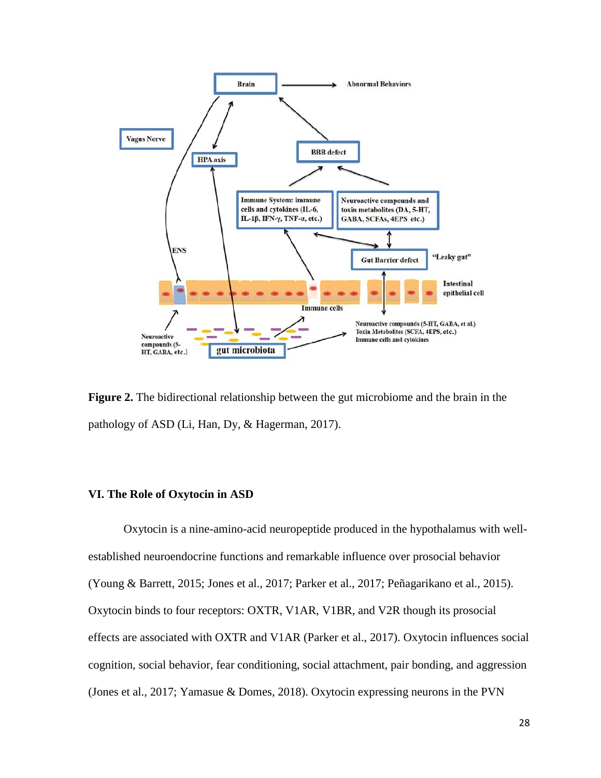

**Figure 2.** The bidirectional relationship between the gut microbiome and the brain in the pathology of ASD (Li, Han, Dy, & Hagerman, 2017).

# **VI. The Role of Oxytocin in ASD**

Oxytocin is a nine-amino-acid neuropeptide produced in the hypothalamus with wellestablished neuroendocrine functions and remarkable influence over prosocial behavior (Young & Barrett, 2015; Jones et al., 2017; Parker et al., 2017; Peñagarikano et al., 2015). Oxytocin binds to four receptors: OXTR, V1AR, V1BR, and V2R though its prosocial effects are associated with OXTR and V1AR (Parker et al., 2017). Oxytocin influences social cognition, social behavior, fear conditioning, social attachment, pair bonding, and aggression (Jones et al., 2017; Yamasue & Domes, 2018). Oxytocin expressing neurons in the PVN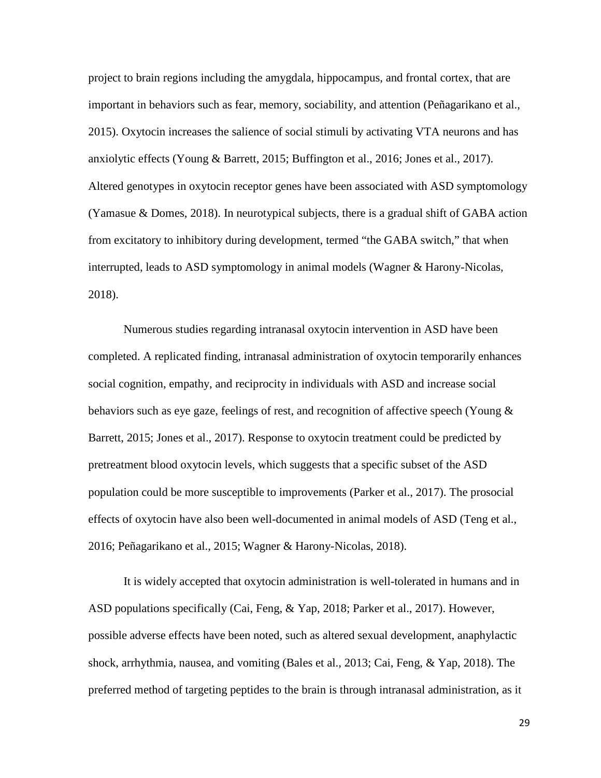project to brain regions including the amygdala, hippocampus, and frontal cortex, that are important in behaviors such as fear, memory, sociability, and attention (Peñagarikano et al., 2015). Oxytocin increases the salience of social stimuli by activating VTA neurons and has anxiolytic effects (Young & Barrett, 2015; Buffington et al., 2016; Jones et al., 2017). Altered genotypes in oxytocin receptor genes have been associated with ASD symptomology (Yamasue & Domes, 2018). In neurotypical subjects, there is a gradual shift of GABA action from excitatory to inhibitory during development, termed "the GABA switch," that when interrupted, leads to ASD symptomology in animal models (Wagner & Harony-Nicolas, 2018).

Numerous studies regarding intranasal oxytocin intervention in ASD have been completed. A replicated finding, intranasal administration of oxytocin temporarily enhances social cognition, empathy, and reciprocity in individuals with ASD and increase social behaviors such as eye gaze, feelings of rest, and recognition of affective speech (Young  $\&$ Barrett, 2015; Jones et al., 2017). Response to oxytocin treatment could be predicted by pretreatment blood oxytocin levels, which suggests that a specific subset of the ASD population could be more susceptible to improvements (Parker et al., 2017). The prosocial effects of oxytocin have also been well-documented in animal models of ASD (Teng et al., 2016; Peñagarikano et al., 2015; Wagner & Harony-Nicolas, 2018).

It is widely accepted that oxytocin administration is well-tolerated in humans and in ASD populations specifically (Cai, Feng, & Yap, 2018; Parker et al., 2017). However, possible adverse effects have been noted, such as altered sexual development, anaphylactic shock, arrhythmia, nausea, and vomiting (Bales et al., 2013; Cai, Feng, & Yap, 2018). The preferred method of targeting peptides to the brain is through intranasal administration, as it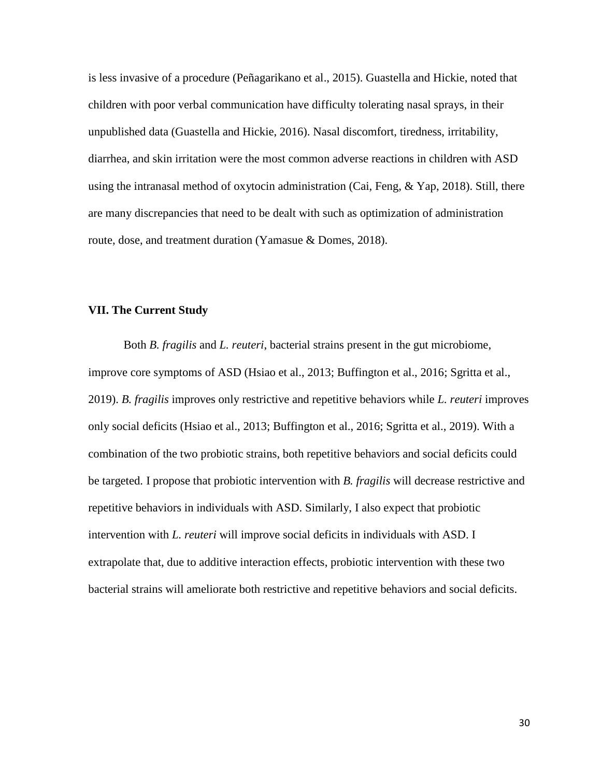is less invasive of a procedure (Peñagarikano et al., 2015). Guastella and Hickie, noted that children with poor verbal communication have difficulty tolerating nasal sprays, in their unpublished data (Guastella and Hickie, 2016). Nasal discomfort, tiredness, irritability, diarrhea, and skin irritation were the most common adverse reactions in children with ASD using the intranasal method of oxytocin administration (Cai, Feng, & Yap, 2018). Still, there are many discrepancies that need to be dealt with such as optimization of administration route, dose, and treatment duration (Yamasue & Domes, 2018).

#### **VII. The Current Study**

Both *B. fragilis* and *L. reuteri*, bacterial strains present in the gut microbiome, improve core symptoms of ASD (Hsiao et al., 2013; Buffington et al., 2016; Sgritta et al., 2019). *B. fragilis* improves only restrictive and repetitive behaviors while *L. reuteri* improves only social deficits (Hsiao et al., 2013; Buffington et al., 2016; Sgritta et al., 2019). With a combination of the two probiotic strains, both repetitive behaviors and social deficits could be targeted. I propose that probiotic intervention with *B. fragilis* will decrease restrictive and repetitive behaviors in individuals with ASD. Similarly, I also expect that probiotic intervention with *L. reuteri* will improve social deficits in individuals with ASD. I extrapolate that, due to additive interaction effects, probiotic intervention with these two bacterial strains will ameliorate both restrictive and repetitive behaviors and social deficits.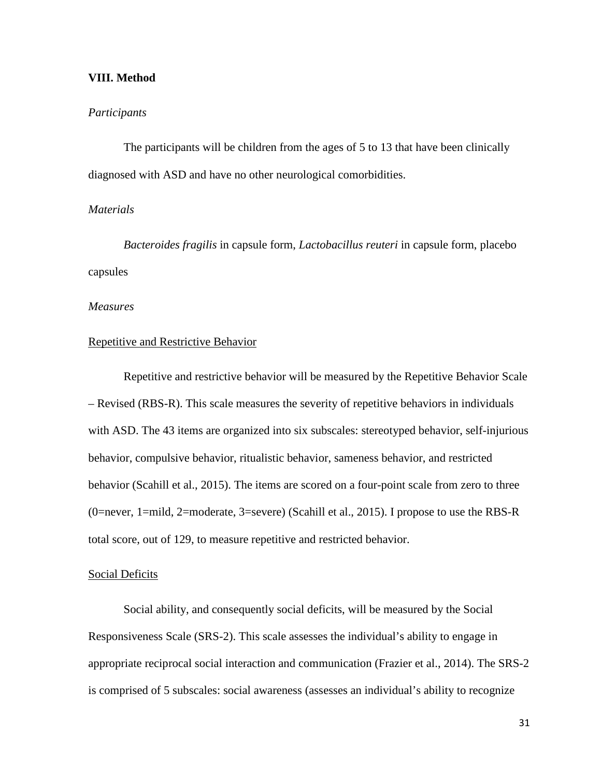## **VIII. Method**

## *Participants*

The participants will be children from the ages of 5 to 13 that have been clinically diagnosed with ASD and have no other neurological comorbidities.

# *Materials*

*Bacteroides fragilis* in capsule form, *Lactobacillus reuteri* in capsule form, placebo capsules

#### *Measures*

#### Repetitive and Restrictive Behavior

Repetitive and restrictive behavior will be measured by the Repetitive Behavior Scale – Revised (RBS-R). This scale measures the severity of repetitive behaviors in individuals with ASD. The 43 items are organized into six subscales: stereotyped behavior, self-injurious behavior, compulsive behavior, ritualistic behavior, sameness behavior, and restricted behavior (Scahill et al., 2015). The items are scored on a four-point scale from zero to three (0=never, 1=mild, 2=moderate, 3=severe) (Scahill et al., 2015). I propose to use the RBS-R total score, out of 129, to measure repetitive and restricted behavior.

#### Social Deficits

Social ability, and consequently social deficits, will be measured by the Social Responsiveness Scale (SRS-2). This scale assesses the individual's ability to engage in appropriate reciprocal social interaction and communication (Frazier et al., 2014). The SRS-2 is comprised of 5 subscales: social awareness (assesses an individual's ability to recognize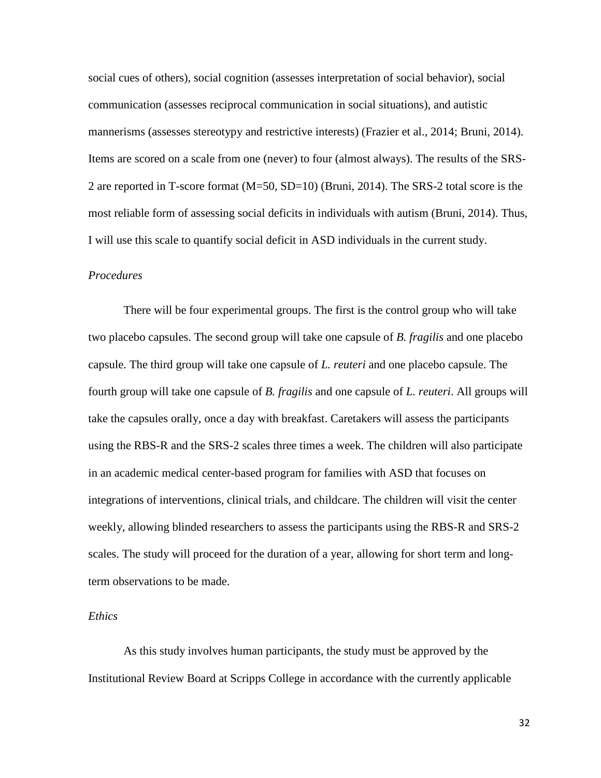social cues of others), social cognition (assesses interpretation of social behavior), social communication (assesses reciprocal communication in social situations), and autistic mannerisms (assesses stereotypy and restrictive interests) (Frazier et al., 2014; Bruni, 2014). Items are scored on a scale from one (never) to four (almost always). The results of the SRS-2 are reported in T-score format (M=50, SD=10) (Bruni, 2014). The SRS-2 total score is the most reliable form of assessing social deficits in individuals with autism (Bruni, 2014). Thus, I will use this scale to quantify social deficit in ASD individuals in the current study.

# *Procedures*

There will be four experimental groups. The first is the control group who will take two placebo capsules. The second group will take one capsule of *B. fragilis* and one placebo capsule. The third group will take one capsule of *L. reuteri* and one placebo capsule. The fourth group will take one capsule of *B. fragilis* and one capsule of *L. reuteri*. All groups will take the capsules orally, once a day with breakfast. Caretakers will assess the participants using the RBS-R and the SRS-2 scales three times a week. The children will also participate in an academic medical center-based program for families with ASD that focuses on integrations of interventions, clinical trials, and childcare. The children will visit the center weekly, allowing blinded researchers to assess the participants using the RBS-R and SRS-2 scales. The study will proceed for the duration of a year, allowing for short term and longterm observations to be made.

# *Ethics*

As this study involves human participants, the study must be approved by the Institutional Review Board at Scripps College in accordance with the currently applicable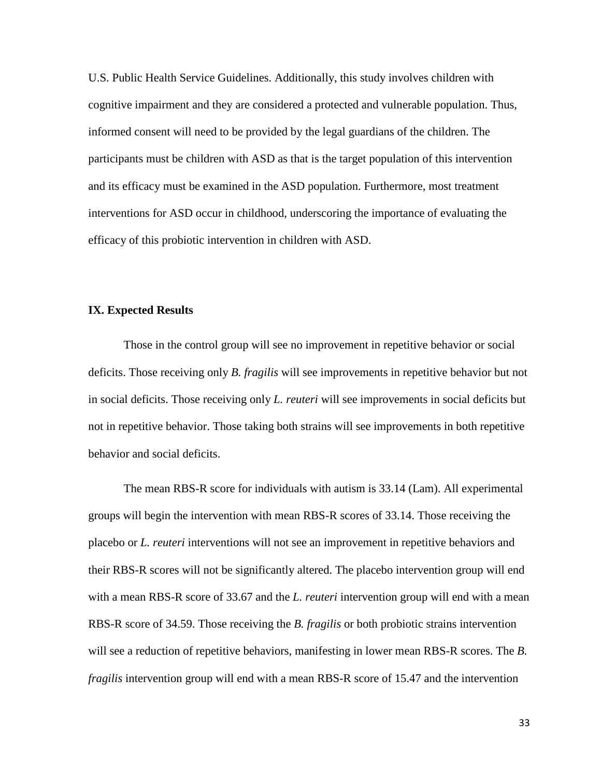U.S. Public Health Service Guidelines. Additionally, this study involves children with cognitive impairment and they are considered a protected and vulnerable population. Thus, informed consent will need to be provided by the legal guardians of the children. The participants must be children with ASD as that is the target population of this intervention and its efficacy must be examined in the ASD population. Furthermore, most treatment interventions for ASD occur in childhood, underscoring the importance of evaluating the efficacy of this probiotic intervention in children with ASD.

#### **IX. Expected Results**

Those in the control group will see no improvement in repetitive behavior or social deficits. Those receiving only *B. fragilis* will see improvements in repetitive behavior but not in social deficits. Those receiving only *L. reuteri* will see improvements in social deficits but not in repetitive behavior. Those taking both strains will see improvements in both repetitive behavior and social deficits.

The mean RBS-R score for individuals with autism is 33.14 (Lam). All experimental groups will begin the intervention with mean RBS-R scores of 33.14. Those receiving the placebo or *L. reuteri* interventions will not see an improvement in repetitive behaviors and their RBS-R scores will not be significantly altered. The placebo intervention group will end with a mean RBS-R score of 33.67 and the *L. reuteri* intervention group will end with a mean RBS-R score of 34.59. Those receiving the *B. fragilis* or both probiotic strains intervention will see a reduction of repetitive behaviors, manifesting in lower mean RBS-R scores. The *B. fragilis* intervention group will end with a mean RBS-R score of 15.47 and the intervention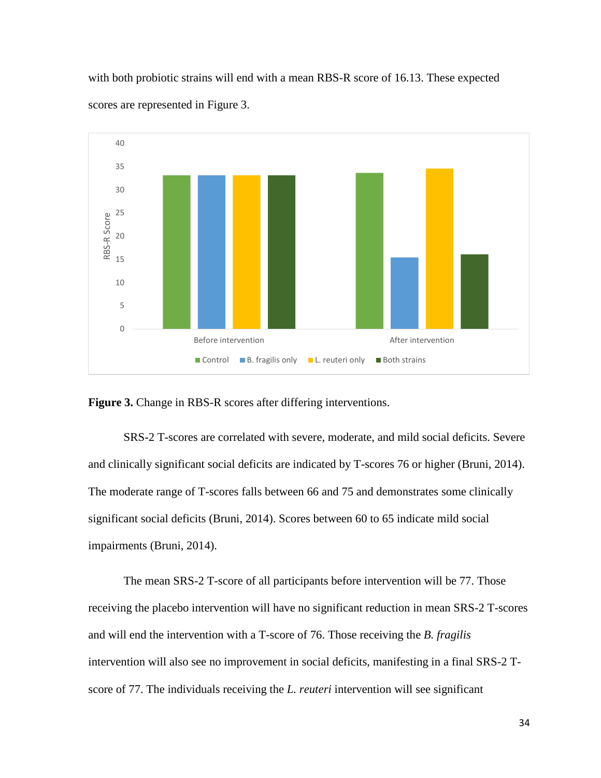with both probiotic strains will end with a mean RBS-R score of 16.13. These expected scores are represented in Figure 3.



**Figure 3.** Change in RBS-R scores after differing interventions.

SRS-2 T-scores are correlated with severe, moderate, and mild social deficits. Severe and clinically significant social deficits are indicated by T-scores 76 or higher (Bruni, 2014). The moderate range of T-scores falls between 66 and 75 and demonstrates some clinically significant social deficits (Bruni, 2014). Scores between 60 to 65 indicate mild social impairments (Bruni, 2014).

The mean SRS-2 T-score of all participants before intervention will be 77. Those receiving the placebo intervention will have no significant reduction in mean SRS-2 T-scores and will end the intervention with a T-score of 76. Those receiving the *B. fragilis* intervention will also see no improvement in social deficits, manifesting in a final SRS-2 Tscore of 77. The individuals receiving the *L. reuteri* intervention will see significant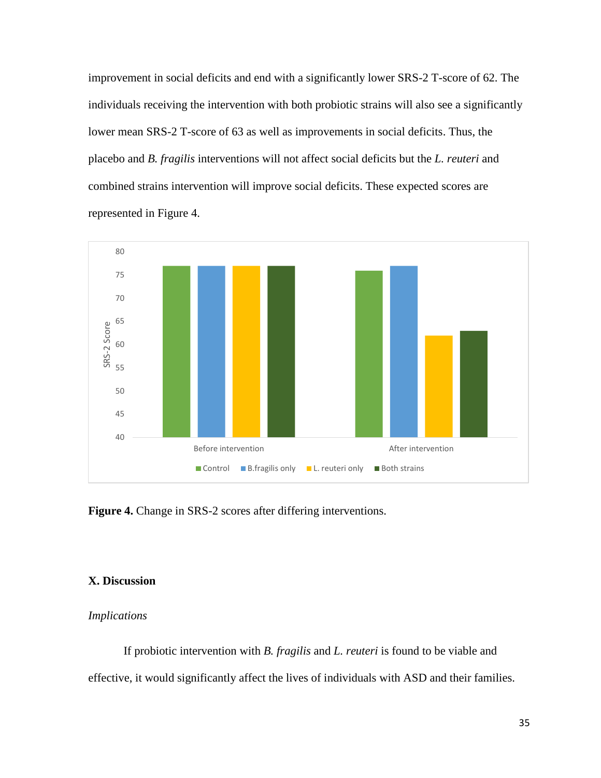improvement in social deficits and end with a significantly lower SRS-2 T-score of 62. The individuals receiving the intervention with both probiotic strains will also see a significantly lower mean SRS-2 T-score of 63 as well as improvements in social deficits. Thus, the placebo and *B. fragilis* interventions will not affect social deficits but the *L. reuteri* and combined strains intervention will improve social deficits. These expected scores are represented in Figure 4.



**Figure 4.** Change in SRS-2 scores after differing interventions.

# **X. Discussion**

# *Implications*

If probiotic intervention with *B. fragilis* and *L. reuteri* is found to be viable and effective, it would significantly affect the lives of individuals with ASD and their families.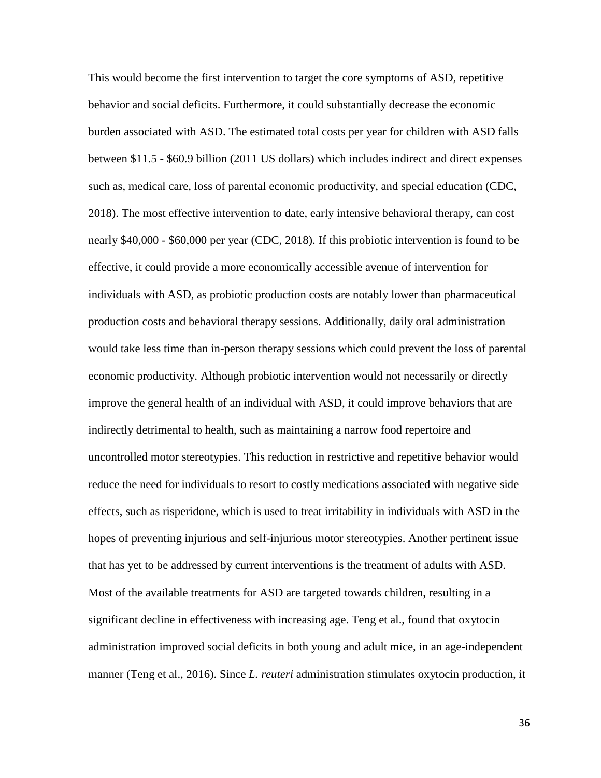This would become the first intervention to target the core symptoms of ASD, repetitive behavior and social deficits. Furthermore, it could substantially decrease the economic burden associated with ASD. The estimated total costs per year for children with ASD falls between \$11.5 - \$60.9 billion (2011 US dollars) which includes indirect and direct expenses such as, medical care, loss of parental economic productivity, and special education (CDC, 2018). The most effective intervention to date, early intensive behavioral therapy, can cost nearly \$40,000 - \$60,000 per year (CDC, 2018). If this probiotic intervention is found to be effective, it could provide a more economically accessible avenue of intervention for individuals with ASD, as probiotic production costs are notably lower than pharmaceutical production costs and behavioral therapy sessions. Additionally, daily oral administration would take less time than in-person therapy sessions which could prevent the loss of parental economic productivity. Although probiotic intervention would not necessarily or directly improve the general health of an individual with ASD, it could improve behaviors that are indirectly detrimental to health, such as maintaining a narrow food repertoire and uncontrolled motor stereotypies. This reduction in restrictive and repetitive behavior would reduce the need for individuals to resort to costly medications associated with negative side effects, such as risperidone, which is used to treat irritability in individuals with ASD in the hopes of preventing injurious and self-injurious motor stereotypies. Another pertinent issue that has yet to be addressed by current interventions is the treatment of adults with ASD. Most of the available treatments for ASD are targeted towards children, resulting in a significant decline in effectiveness with increasing age. Teng et al., found that oxytocin administration improved social deficits in both young and adult mice, in an age-independent manner (Teng et al., 2016). Since *L. reuteri* administration stimulates oxytocin production, it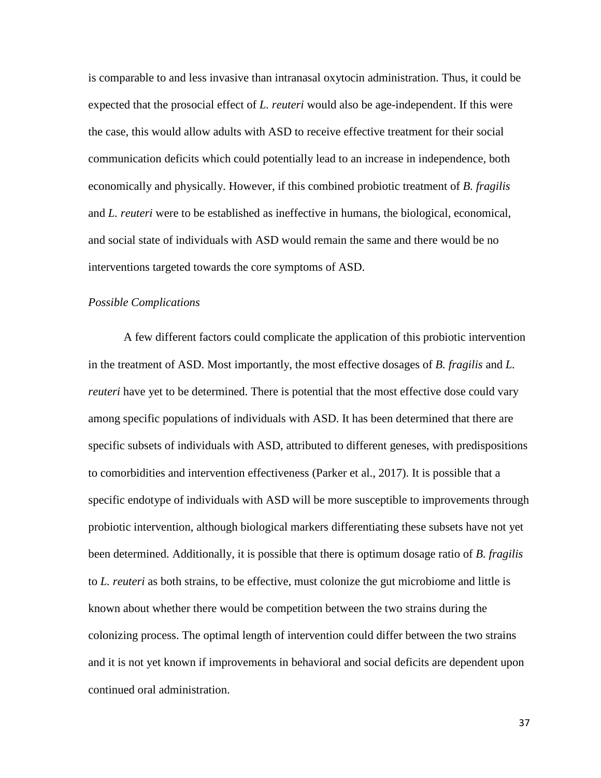is comparable to and less invasive than intranasal oxytocin administration. Thus, it could be expected that the prosocial effect of *L. reuteri* would also be age-independent. If this were the case, this would allow adults with ASD to receive effective treatment for their social communication deficits which could potentially lead to an increase in independence, both economically and physically. However, if this combined probiotic treatment of *B. fragilis* and *L. reuteri* were to be established as ineffective in humans, the biological, economical, and social state of individuals with ASD would remain the same and there would be no interventions targeted towards the core symptoms of ASD.

# *Possible Complications*

A few different factors could complicate the application of this probiotic intervention in the treatment of ASD. Most importantly, the most effective dosages of *B. fragilis* and *L. reuteri* have yet to be determined. There is potential that the most effective dose could vary among specific populations of individuals with ASD. It has been determined that there are specific subsets of individuals with ASD, attributed to different geneses, with predispositions to comorbidities and intervention effectiveness (Parker et al., 2017). It is possible that a specific endotype of individuals with ASD will be more susceptible to improvements through probiotic intervention, although biological markers differentiating these subsets have not yet been determined. Additionally, it is possible that there is optimum dosage ratio of *B. fragilis* to *L. reuteri* as both strains, to be effective, must colonize the gut microbiome and little is known about whether there would be competition between the two strains during the colonizing process. The optimal length of intervention could differ between the two strains and it is not yet known if improvements in behavioral and social deficits are dependent upon continued oral administration.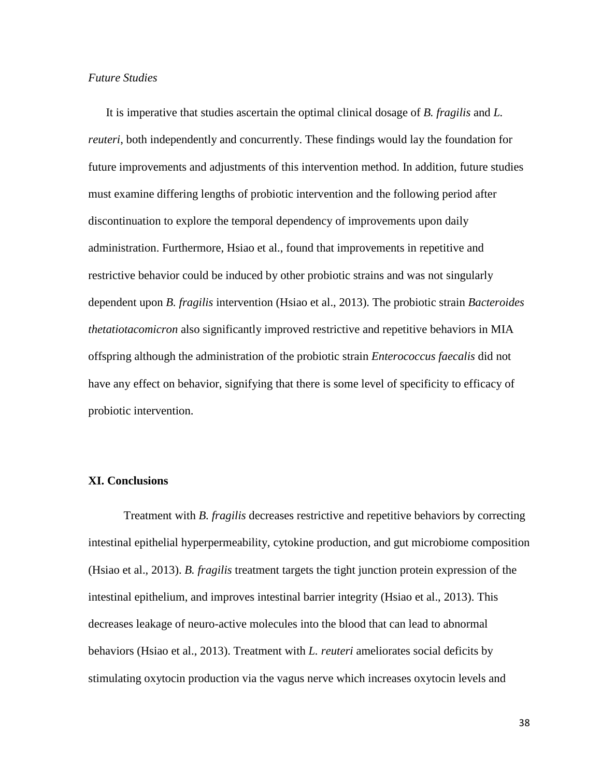#### *Future Studies*

It is imperative that studies ascertain the optimal clinical dosage of *B. fragilis* and *L. reuteri*, both independently and concurrently. These findings would lay the foundation for future improvements and adjustments of this intervention method. In addition, future studies must examine differing lengths of probiotic intervention and the following period after discontinuation to explore the temporal dependency of improvements upon daily administration. Furthermore, Hsiao et al., found that improvements in repetitive and restrictive behavior could be induced by other probiotic strains and was not singularly dependent upon *B. fragilis* intervention (Hsiao et al., 2013). The probiotic strain *Bacteroides thetatiotacomicron* also significantly improved restrictive and repetitive behaviors in MIA offspring although the administration of the probiotic strain *Enterococcus faecalis* did not have any effect on behavior, signifying that there is some level of specificity to efficacy of probiotic intervention.

# **XI. Conclusions**

Treatment with *B. fragilis* decreases restrictive and repetitive behaviors by correcting intestinal epithelial hyperpermeability, cytokine production, and gut microbiome composition (Hsiao et al., 2013). *B. fragilis* treatment targets the tight junction protein expression of the intestinal epithelium, and improves intestinal barrier integrity (Hsiao et al., 2013). This decreases leakage of neuro-active molecules into the blood that can lead to abnormal behaviors (Hsiao et al., 2013). Treatment with *L. reuteri* ameliorates social deficits by stimulating oxytocin production via the vagus nerve which increases oxytocin levels and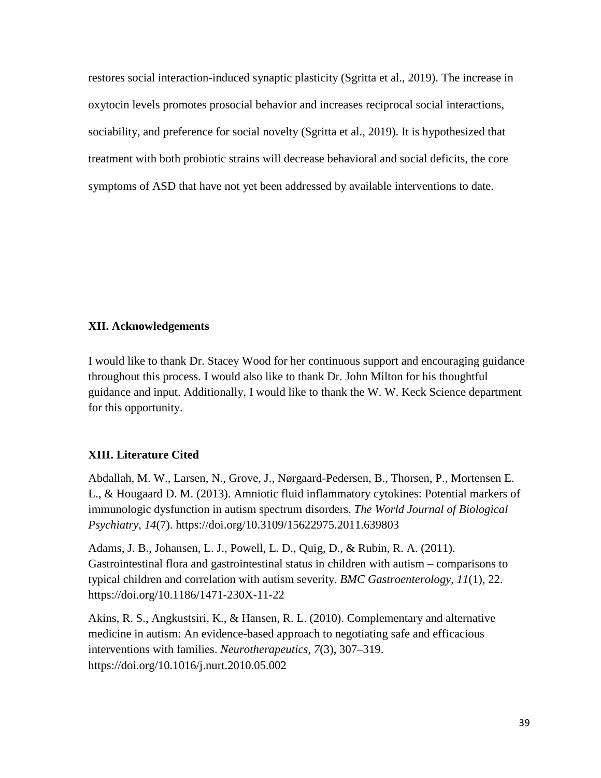restores social interaction-induced synaptic plasticity (Sgritta et al., 2019). The increase in oxytocin levels promotes prosocial behavior and increases reciprocal social interactions, sociability, and preference for social novelty (Sgritta et al., 2019). It is hypothesized that treatment with both probiotic strains will decrease behavioral and social deficits, the core symptoms of ASD that have not yet been addressed by available interventions to date.

# **XII. Acknowledgements**

I would like to thank Dr. Stacey Wood for her continuous support and encouraging guidance throughout this process. I would also like to thank Dr. John Milton for his thoughtful guidance and input. Additionally, I would like to thank the W. W. Keck Science department for this opportunity.

# **XIII. Literature Cited**

Abdallah, M. W., Larsen, N., Grove, J., Nørgaard-Pedersen, B., Thorsen, P., Mortensen E. L., & Hougaard D. M. (2013). Amniotic fluid inflammatory cytokines: Potential markers of immunologic dysfunction in autism spectrum disorders. *The World Journal of Biological Psychiatry, 14*(7). https://doi.org/10.3109/15622975.2011.639803

Adams, J. B., Johansen, L. J., Powell, L. D., Quig, D., & Rubin, R. A. (2011). Gastrointestinal flora and gastrointestinal status in children with autism – comparisons to typical children and correlation with autism severity. *BMC Gastroenterology*, *11*(1), 22. https://doi.org/10.1186/1471-230X-11-22

Akins, R. S., Angkustsiri, K., & Hansen, R. L. (2010). Complementary and alternative medicine in autism: An evidence-based approach to negotiating safe and efficacious interventions with families. *Neurotherapeutics*, *7*(3), 307–319. https://doi.org/10.1016/j.nurt.2010.05.002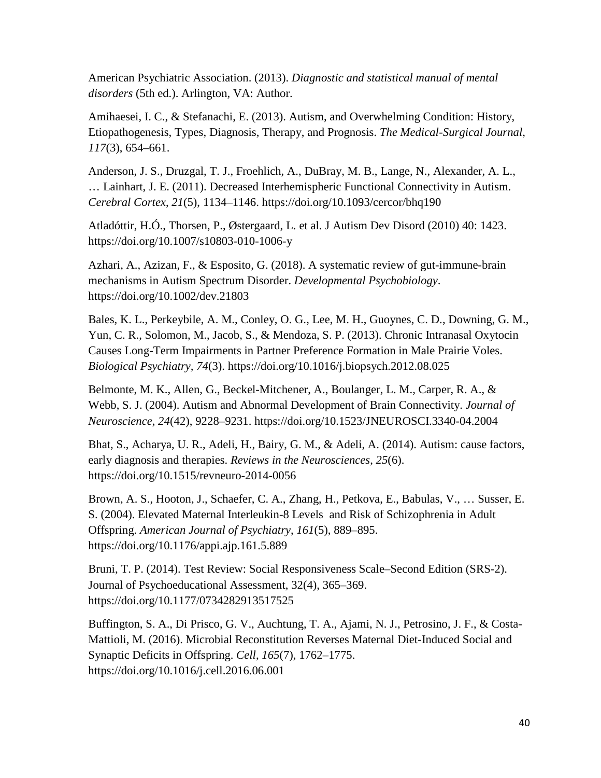American Psychiatric Association. (2013). *Diagnostic and statistical manual of mental disorders* (5th ed.). Arlington, VA: Author.

Amihaesei, I. C., & Stefanachi, E. (2013). Autism, and Overwhelming Condition: History, Etiopathogenesis, Types, Diagnosis, Therapy, and Prognosis. *The Medical-Surgical Journal*, *117*(3), 654–661.

Anderson, J. S., Druzgal, T. J., Froehlich, A., DuBray, M. B., Lange, N., Alexander, A. L., … Lainhart, J. E. (2011). Decreased Interhemispheric Functional Connectivity in Autism. *Cerebral Cortex*, *21*(5), 1134–1146. https://doi.org/10.1093/cercor/bhq190

Atladóttir, H.Ó., Thorsen, P., Østergaard, L. et al. J Autism Dev Disord (2010) 40: 1423. https://doi.org/10.1007/s10803-010-1006-y

Azhari, A., Azizan, F., & Esposito, G. (2018). A systematic review of gut-immune-brain mechanisms in Autism Spectrum Disorder. *Developmental Psychobiology*. https://doi.org/10.1002/dev.21803

Bales, K. L., Perkeybile, A. M., Conley, O. G., Lee, M. H., Guoynes, C. D., Downing, G. M., Yun, C. R., Solomon, M., Jacob, S., & Mendoza, S. P. (2013). Chronic Intranasal Oxytocin Causes Long-Term Impairments in Partner Preference Formation in Male Prairie Voles. *Biological Psychiatry, 74*(3). https://doi.org/10.1016/j.biopsych.2012.08.025

Belmonte, M. K., Allen, G., Beckel-Mitchener, A., Boulanger, L. M., Carper, R. A., & Webb, S. J. (2004). Autism and Abnormal Development of Brain Connectivity. *Journal of Neuroscience*, *24*(42), 9228–9231. https://doi.org/10.1523/JNEUROSCI.3340-04.2004

Bhat, S., Acharya, U. R., Adeli, H., Bairy, G. M., & Adeli, A. (2014). Autism: cause factors, early diagnosis and therapies. *Reviews in the Neurosciences*, *25*(6). https://doi.org/10.1515/revneuro-2014-0056

Brown, A. S., Hooton, J., Schaefer, C. A., Zhang, H., Petkova, E., Babulas, V., … Susser, E. S. (2004). Elevated Maternal Interleukin-8 Levels and Risk of Schizophrenia in Adult Offspring. *American Journal of Psychiatry*, *161*(5), 889–895. https://doi.org/10.1176/appi.ajp.161.5.889

Bruni, T. P. (2014). Test Review: Social Responsiveness Scale–Second Edition (SRS-2). Journal of Psychoeducational Assessment, 32(4), 365–369. https://doi.org/10.1177/0734282913517525

Buffington, S. A., Di Prisco, G. V., Auchtung, T. A., Ajami, N. J., Petrosino, J. F., & Costa-Mattioli, M. (2016). Microbial Reconstitution Reverses Maternal Diet-Induced Social and Synaptic Deficits in Offspring. *Cell*, *165*(7), 1762–1775. https://doi.org/10.1016/j.cell.2016.06.001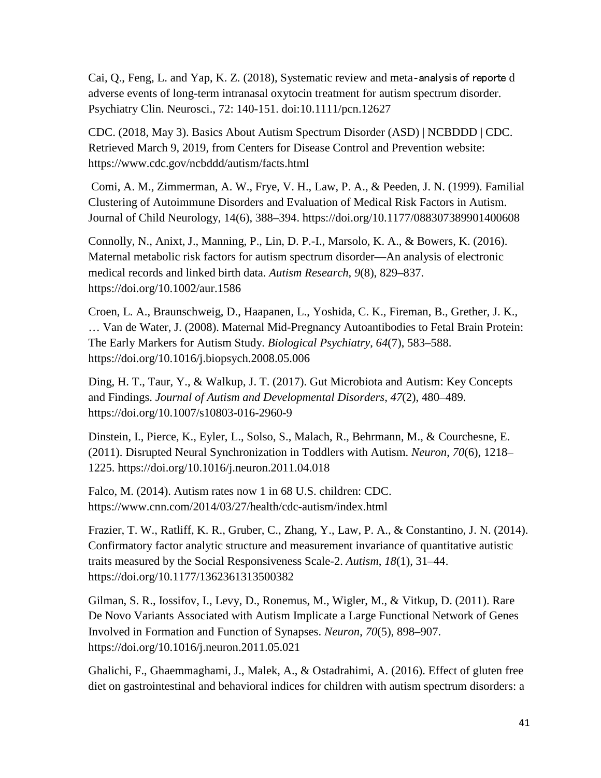Cai, Q., Feng, L. and Yap, K. Z. (2018), Systematic review and meta‐analysis of reporte d adverse events of long-term intranasal oxytocin treatment for autism spectrum disorder. Psychiatry Clin. Neurosci., 72: 140-151. doi:10.1111/pcn.12627

CDC. (2018, May 3). Basics About Autism Spectrum Disorder (ASD) | NCBDDD | CDC. Retrieved March 9, 2019, from Centers for Disease Control and Prevention website: https://www.cdc.gov/ncbddd/autism/facts.html

Comi, A. M., Zimmerman, A. W., Frye, V. H., Law, P. A., & Peeden, J. N. (1999). Familial Clustering of Autoimmune Disorders and Evaluation of Medical Risk Factors in Autism. Journal of Child Neurology, 14(6), 388–394. https://doi.org/10.1177/088307389901400608

Connolly, N., Anixt, J., Manning, P., Lin, D. P.-I., Marsolo, K. A., & Bowers, K. (2016). Maternal metabolic risk factors for autism spectrum disorder—An analysis of electronic medical records and linked birth data. *Autism Research*, *9*(8), 829–837. https://doi.org/10.1002/aur.1586

Croen, L. A., Braunschweig, D., Haapanen, L., Yoshida, C. K., Fireman, B., Grether, J. K., … Van de Water, J. (2008). Maternal Mid-Pregnancy Autoantibodies to Fetal Brain Protein: The Early Markers for Autism Study. *Biological Psychiatry*, *64*(7), 583–588. https://doi.org/10.1016/j.biopsych.2008.05.006

Ding, H. T., Taur, Y., & Walkup, J. T. (2017). Gut Microbiota and Autism: Key Concepts and Findings. *Journal of Autism and Developmental Disorders*, *47*(2), 480–489. https://doi.org/10.1007/s10803-016-2960-9

Dinstein, I., Pierce, K., Eyler, L., Solso, S., Malach, R., Behrmann, M., & Courchesne, E. (2011). Disrupted Neural Synchronization in Toddlers with Autism. *Neuron*, *70*(6), 1218– 1225. https://doi.org/10.1016/j.neuron.2011.04.018

Falco, M. (2014). Autism rates now 1 in 68 U.S. children: CDC. https://www.cnn.com/2014/03/27/health/cdc-autism/index.html

Frazier, T. W., Ratliff, K. R., Gruber, C., Zhang, Y., Law, P. A., & Constantino, J. N. (2014). Confirmatory factor analytic structure and measurement invariance of quantitative autistic traits measured by the Social Responsiveness Scale-2. *Autism*, *18*(1), 31–44. https://doi.org/10.1177/1362361313500382

Gilman, S. R., Iossifov, I., Levy, D., Ronemus, M., Wigler, M., & Vitkup, D. (2011). Rare De Novo Variants Associated with Autism Implicate a Large Functional Network of Genes Involved in Formation and Function of Synapses. *Neuron*, *70*(5), 898–907. https://doi.org/10.1016/j.neuron.2011.05.021

Ghalichi, F., Ghaemmaghami, J., Malek, A., & Ostadrahimi, A. (2016). Effect of gluten free diet on gastrointestinal and behavioral indices for children with autism spectrum disorders: a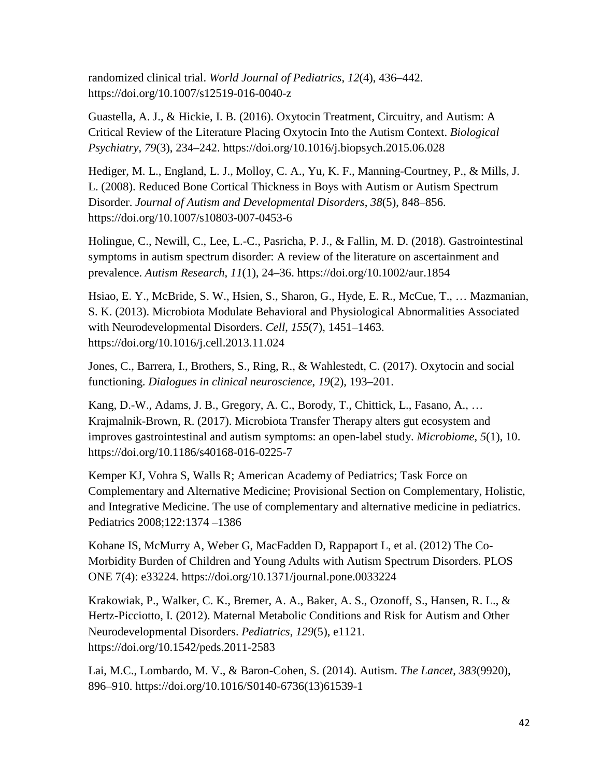randomized clinical trial. *World Journal of Pediatrics*, *12*(4), 436–442. https://doi.org/10.1007/s12519-016-0040-z

Guastella, A. J., & Hickie, I. B. (2016). Oxytocin Treatment, Circuitry, and Autism: A Critical Review of the Literature Placing Oxytocin Into the Autism Context. *Biological Psychiatry*, *79*(3), 234–242. https://doi.org/10.1016/j.biopsych.2015.06.028

Hediger, M. L., England, L. J., Molloy, C. A., Yu, K. F., Manning-Courtney, P., & Mills, J. L. (2008). Reduced Bone Cortical Thickness in Boys with Autism or Autism Spectrum Disorder. *Journal of Autism and Developmental Disorders*, *38*(5), 848–856. https://doi.org/10.1007/s10803-007-0453-6

Holingue, C., Newill, C., Lee, L.-C., Pasricha, P. J., & Fallin, M. D. (2018). Gastrointestinal symptoms in autism spectrum disorder: A review of the literature on ascertainment and prevalence. *Autism Research*, *11*(1), 24–36. https://doi.org/10.1002/aur.1854

Hsiao, E. Y., McBride, S. W., Hsien, S., Sharon, G., Hyde, E. R., McCue, T., … Mazmanian, S. K. (2013). Microbiota Modulate Behavioral and Physiological Abnormalities Associated with Neurodevelopmental Disorders. *Cell*, *155*(7), 1451–1463. https://doi.org/10.1016/j.cell.2013.11.024

Jones, C., Barrera, I., Brothers, S., Ring, R., & Wahlestedt, C. (2017). Oxytocin and social functioning. *Dialogues in clinical neuroscience*, *19*(2), 193–201.

Kang, D.-W., Adams, J. B., Gregory, A. C., Borody, T., Chittick, L., Fasano, A., … Krajmalnik-Brown, R. (2017). Microbiota Transfer Therapy alters gut ecosystem and improves gastrointestinal and autism symptoms: an open-label study. *Microbiome*, *5*(1), 10. https://doi.org/10.1186/s40168-016-0225-7

Kemper KJ, Vohra S, Walls R; American Academy of Pediatrics; Task Force on Complementary and Alternative Medicine; Provisional Section on Complementary, Holistic, and Integrative Medicine. The use of complementary and alternative medicine in pediatrics. Pediatrics 2008;122:1374 –1386

Kohane IS, McMurry A, Weber G, MacFadden D, Rappaport L, et al. (2012) The Co-Morbidity Burden of Children and Young Adults with Autism Spectrum Disorders. PLOS ONE 7(4): e33224. https://doi.org/10.1371/journal.pone.0033224

Krakowiak, P., Walker, C. K., Bremer, A. A., Baker, A. S., Ozonoff, S., Hansen, R. L., & Hertz-Picciotto, I. (2012). Maternal Metabolic Conditions and Risk for Autism and Other Neurodevelopmental Disorders. *Pediatrics*, *129*(5), e1121. https://doi.org/10.1542/peds.2011-2583

Lai, M.C., Lombardo, M. V., & Baron-Cohen, S. (2014). Autism. *The Lancet*, *383*(9920), 896–910. https://doi.org/10.1016/S0140-6736(13)61539-1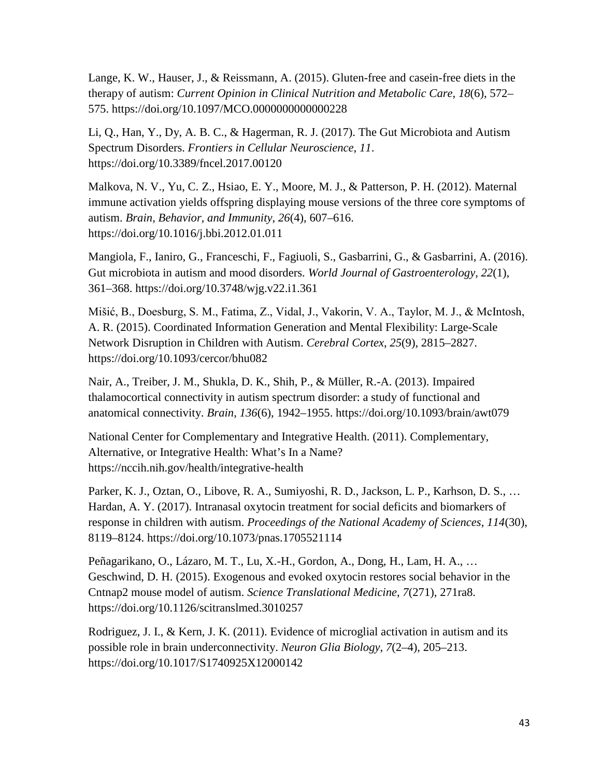Lange, K. W., Hauser, J., & Reissmann, A. (2015). Gluten-free and casein-free diets in the therapy of autism: *Current Opinion in Clinical Nutrition and Metabolic Care*, *18*(6), 572– 575. https://doi.org/10.1097/MCO.0000000000000228

Li, Q., Han, Y., Dy, A. B. C., & Hagerman, R. J. (2017). The Gut Microbiota and Autism Spectrum Disorders. *Frontiers in Cellular Neuroscience*, *11*. https://doi.org/10.3389/fncel.2017.00120

Malkova, N. V., Yu, C. Z., Hsiao, E. Y., Moore, M. J., & Patterson, P. H. (2012). Maternal immune activation yields offspring displaying mouse versions of the three core symptoms of autism. *Brain, Behavior, and Immunity*, *26*(4), 607–616. https://doi.org/10.1016/j.bbi.2012.01.011

Mangiola, F., Ianiro, G., Franceschi, F., Fagiuoli, S., Gasbarrini, G., & Gasbarrini, A. (2016). Gut microbiota in autism and mood disorders. *World Journal of Gastroenterology*, *22*(1), 361–368. https://doi.org/10.3748/wjg.v22.i1.361

Mišić, B., Doesburg, S. M., Fatima, Z., Vidal, J., Vakorin, V. A., Taylor, M. J., & McIntosh, A. R. (2015). Coordinated Information Generation and Mental Flexibility: Large-Scale Network Disruption in Children with Autism. *Cerebral Cortex*, *25*(9), 2815–2827. https://doi.org/10.1093/cercor/bhu082

Nair, A., Treiber, J. M., Shukla, D. K., Shih, P., & Müller, R.-A. (2013). Impaired thalamocortical connectivity in autism spectrum disorder: a study of functional and anatomical connectivity. *Brain*, *136*(6), 1942–1955. https://doi.org/10.1093/brain/awt079

National Center for Complementary and Integrative Health. (2011). Complementary, Alternative, or Integrative Health: What's In a Name? https://nccih.nih.gov/health/integrative-health

Parker, K. J., Oztan, O., Libove, R. A., Sumiyoshi, R. D., Jackson, L. P., Karhson, D. S., … Hardan, A. Y. (2017). Intranasal oxytocin treatment for social deficits and biomarkers of response in children with autism. *Proceedings of the National Academy of Sciences*, *114*(30), 8119–8124. https://doi.org/10.1073/pnas.1705521114

Peñagarikano, O., Lázaro, M. T., Lu, X.-H., Gordon, A., Dong, H., Lam, H. A., … Geschwind, D. H. (2015). Exogenous and evoked oxytocin restores social behavior in the Cntnap2 mouse model of autism. *Science Translational Medicine*, *7*(271), 271ra8. https://doi.org/10.1126/scitranslmed.3010257

Rodriguez, J. I., & Kern, J. K. (2011). Evidence of microglial activation in autism and its possible role in brain underconnectivity. *Neuron Glia Biology*, *7*(2–4), 205–213. https://doi.org/10.1017/S1740925X12000142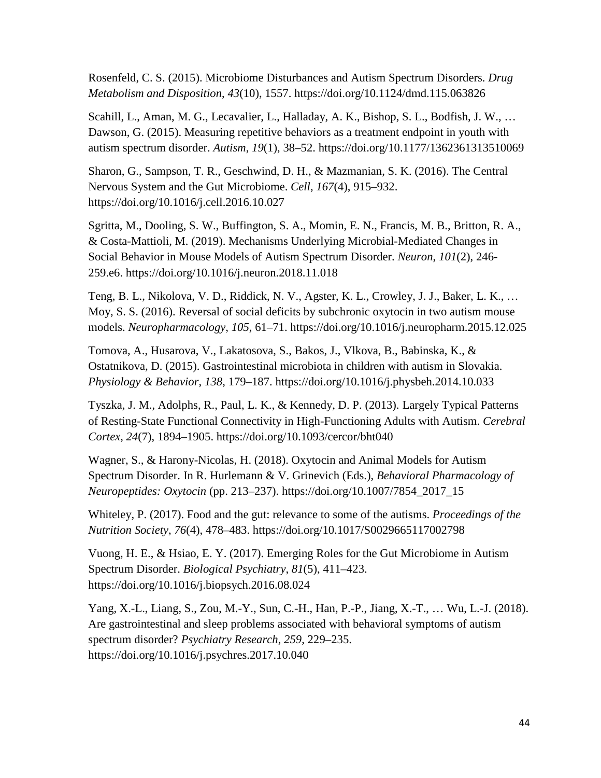Rosenfeld, C. S. (2015). Microbiome Disturbances and Autism Spectrum Disorders. *Drug Metabolism and Disposition*, *43*(10), 1557. https://doi.org/10.1124/dmd.115.063826

Scahill, L., Aman, M. G., Lecavalier, L., Halladay, A. K., Bishop, S. L., Bodfish, J. W., … Dawson, G. (2015). Measuring repetitive behaviors as a treatment endpoint in youth with autism spectrum disorder. *Autism*, *19*(1), 38–52. https://doi.org/10.1177/1362361313510069

Sharon, G., Sampson, T. R., Geschwind, D. H., & Mazmanian, S. K. (2016). The Central Nervous System and the Gut Microbiome. *Cell*, *167*(4), 915–932. https://doi.org/10.1016/j.cell.2016.10.027

Sgritta, M., Dooling, S. W., Buffington, S. A., Momin, E. N., Francis, M. B., Britton, R. A., & Costa-Mattioli, M. (2019). Mechanisms Underlying Microbial-Mediated Changes in Social Behavior in Mouse Models of Autism Spectrum Disorder. *Neuron*, *101*(2), 246- 259.e6. https://doi.org/10.1016/j.neuron.2018.11.018

Teng, B. L., Nikolova, V. D., Riddick, N. V., Agster, K. L., Crowley, J. J., Baker, L. K., … Moy, S. S. (2016). Reversal of social deficits by subchronic oxytocin in two autism mouse models. *Neuropharmacology*, *105*, 61–71. https://doi.org/10.1016/j.neuropharm.2015.12.025

Tomova, A., Husarova, V., Lakatosova, S., Bakos, J., Vlkova, B., Babinska, K., & Ostatnikova, D. (2015). Gastrointestinal microbiota in children with autism in Slovakia. *Physiology & Behavior*, *138*, 179–187. https://doi.org/10.1016/j.physbeh.2014.10.033

Tyszka, J. M., Adolphs, R., Paul, L. K., & Kennedy, D. P. (2013). Largely Typical Patterns of Resting-State Functional Connectivity in High-Functioning Adults with Autism. *Cerebral Cortex*, *24*(7), 1894–1905. https://doi.org/10.1093/cercor/bht040

Wagner, S., & Harony-Nicolas, H. (2018). Oxytocin and Animal Models for Autism Spectrum Disorder. In R. Hurlemann & V. Grinevich (Eds.), *Behavioral Pharmacology of Neuropeptides: Oxytocin* (pp. 213–237). https://doi.org/10.1007/7854\_2017\_15

Whiteley, P. (2017). Food and the gut: relevance to some of the autisms. *Proceedings of the Nutrition Society*, *76*(4), 478–483. https://doi.org/10.1017/S0029665117002798

Vuong, H. E., & Hsiao, E. Y. (2017). Emerging Roles for the Gut Microbiome in Autism Spectrum Disorder. *Biological Psychiatry*, *81*(5), 411–423. https://doi.org/10.1016/j.biopsych.2016.08.024

Yang, X.-L., Liang, S., Zou, M.-Y., Sun, C.-H., Han, P.-P., Jiang, X.-T., … Wu, L.-J. (2018). Are gastrointestinal and sleep problems associated with behavioral symptoms of autism spectrum disorder? *Psychiatry Research*, *259*, 229–235. https://doi.org/10.1016/j.psychres.2017.10.040